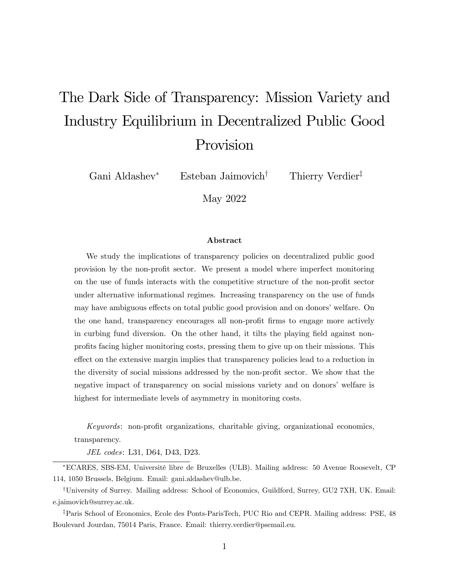# The Dark Side of Transparency: Mission Variety and Industry Equilibrium in Decentralized Public Good Provision

Gani Aldashev<sup>\*</sup> Esteban Jaimovich<sup>†</sup> Thierry Verdier<sup>‡</sup>

May 2022

#### Abstract

We study the implications of transparency policies on decentralized public good provision by the non-proÖt sector. We present a model where imperfect monitoring on the use of funds interacts with the competitive structure of the non-profit sector under alternative informational regimes. Increasing transparency on the use of funds may have ambiguous effects on total public good provision and on donors' welfare. On the one hand, transparency encourages all non-profit firms to engage more actively in curbing fund diversion. On the other hand, it tilts the playing field against nonprofits facing higher monitoring costs, pressing them to give up on their missions. This effect on the extensive margin implies that transparency policies lead to a reduction in the diversity of social missions addressed by the non-profit sector. We show that the negative impact of transparency on social missions variety and on donors' welfare is highest for intermediate levels of asymmetry in monitoring costs.

 $Keywords:$  non-profit organizations, charitable giving, organizational economics, transparency.

JEL codes: L31, D64, D43, D23.

ECARES, SBS-EM, UniversitÈ libre de Bruxelles (ULB). Mailing address: 50 Avenue Roosevelt, CP 114, 1050 Brussels, Belgium. Email: gani.aldashev@ulb.be.

<sup>†</sup>University of Surrey. Mailing address: School of Economics, Guildford, Surrey, GU2 7XH, UK. Email: e.jaimovich@surrey.ac.uk.

<sup>‡</sup>Paris School of Economics, Ecole des Ponts-ParisTech, PUC Rio and CEPR. Mailing address: PSE, 48 Boulevard Jourdan, 75014 Paris, France. Email: thierry.verdier@psemail.eu.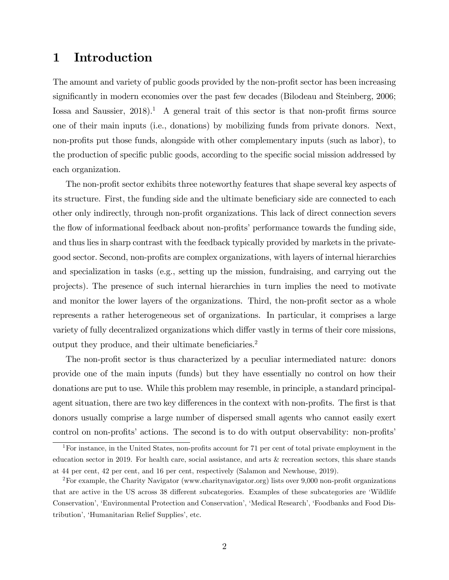# 1 Introduction

The amount and variety of public goods provided by the non-profit sector has been increasing significantly in modern economies over the past few decades (Bilodeau and Steinberg, 2006; Iossa and Saussier,  $2018$ <sup>1</sup>. A general trait of this sector is that non-profit firms source one of their main inputs (i.e., donations) by mobilizing funds from private donors. Next, non-profits put those funds, alongside with other complementary inputs (such as labor), to the production of specific public goods, according to the specific social mission addressed by each organization.

The non-profit sector exhibits three noteworthy features that shape several key aspects of its structure. First, the funding side and the ultimate beneficiary side are connected to each other only indirectly, through non-profit organizations. This lack of direct connection severs the flow of informational feedback about non-profits' performance towards the funding side, and thus lies in sharp contrast with the feedback typically provided by markets in the privategood sector. Second, non-profits are complex organizations, with layers of internal hierarchies and specialization in tasks (e.g., setting up the mission, fundraising, and carrying out the projects). The presence of such internal hierarchies in turn implies the need to motivate and monitor the lower layers of the organizations. Third, the non-profit sector as a whole represents a rather heterogeneous set of organizations. In particular, it comprises a large variety of fully decentralized organizations which differ vastly in terms of their core missions, output they produce, and their ultimate beneficiaries.<sup>2</sup>

The non-profit sector is thus characterized by a peculiar intermediated nature: donors provide one of the main inputs (funds) but they have essentially no control on how their donations are put to use. While this problem may resemble, in principle, a standard principalagent situation, there are two key differences in the context with non-profits. The first is that donors usually comprise a large number of dispersed small agents who cannot easily exert control on non-profits' actions. The second is to do with output observability: non-profits'

<sup>&</sup>lt;sup>1</sup>For instance, in the United States, non-profits account for 71 per cent of total private employment in the education sector in 2019. For health care, social assistance, and arts & recreation sectors, this share stands at 44 per cent, 42 per cent, and 16 per cent, respectively (Salamon and Newhouse, 2019).

<sup>&</sup>lt;sup>2</sup>For example, the Charity Navigator (www.charitynavigator.org) lists over  $9,000$  non-profit organizations that are active in the US across 38 different subcategories. Examples of these subcategories are 'Wildlife Conservation<sup>7</sup>, 'Environmental Protection and Conservation', 'Medical Research', 'Foodbanks and Food Distribution', 'Humanitarian Relief Supplies', etc.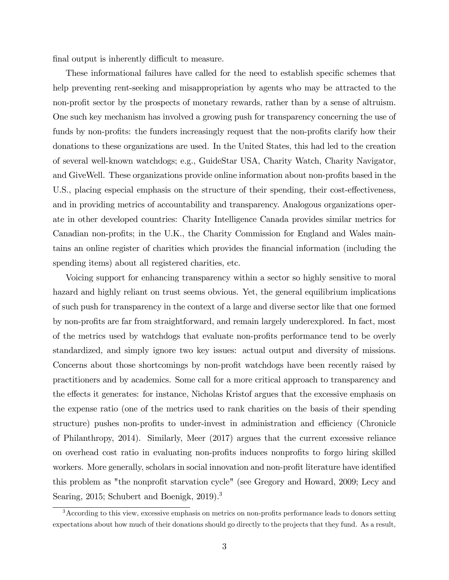final output is inherently difficult to measure.

These informational failures have called for the need to establish specific schemes that help preventing rent-seeking and misappropriation by agents who may be attracted to the non-profit sector by the prospects of monetary rewards, rather than by a sense of altruism. One such key mechanism has involved a growing push for transparency concerning the use of funds by non-profits: the funders increasingly request that the non-profits clarify how their donations to these organizations are used. In the United States, this had led to the creation of several well-known watchdogs; e.g., GuideStar USA, Charity Watch, Charity Navigator, and GiveWell. These organizations provide online information about non-profits based in the U.S., placing especial emphasis on the structure of their spending, their cost-effectiveness, and in providing metrics of accountability and transparency. Analogous organizations operate in other developed countries: Charity Intelligence Canada provides similar metrics for Canadian non-profits; in the U.K., the Charity Commission for England and Wales maintains an online register of charities which provides the Önancial information (including the spending items) about all registered charities, etc.

Voicing support for enhancing transparency within a sector so highly sensitive to moral hazard and highly reliant on trust seems obvious. Yet, the general equilibrium implications of such push for transparency in the context of a large and diverse sector like that one formed by non-profits are far from straightforward, and remain largely underexplored. In fact, most of the metrics used by watchdogs that evaluate non-profits performance tend to be overly standardized, and simply ignore two key issues: actual output and diversity of missions. Concerns about those shortcomings by non-profit watchdogs have been recently raised by practitioners and by academics. Some call for a more critical approach to transparency and the effects it generates: for instance, Nicholas Kristof argues that the excessive emphasis on the expense ratio (one of the metrics used to rank charities on the basis of their spending structure) pushes non-profits to under-invest in administration and efficiency (Chronicle of Philanthropy, 2014). Similarly, Meer (2017) argues that the current excessive reliance on overhead cost ratio in evaluating non-profits induces nonprofits to forgo hiring skilled workers. More generally, scholars in social innovation and non-profit literature have identified this problem as "the nonprofit starvation cycle" (see Gregory and Howard, 2009; Lecy and Searing, 2015; Schubert and Boenigk, 2019).<sup>3</sup>

 $3$ According to this view, excessive emphasis on metrics on non-profits performance leads to donors setting expectations about how much of their donations should go directly to the projects that they fund. As a result,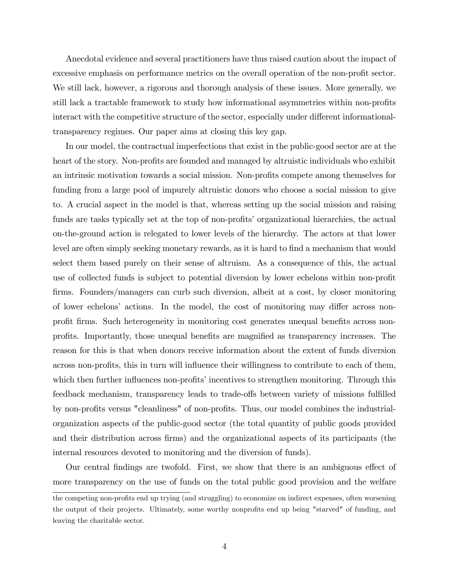Anecdotal evidence and several practitioners have thus raised caution about the impact of excessive emphasis on performance metrics on the overall operation of the non-profit sector. We still lack, however, a rigorous and thorough analysis of these issues. More generally, we still lack a tractable framework to study how informational asymmetries within non-profits interact with the competitive structure of the sector, especially under different informationaltransparency regimes. Our paper aims at closing this key gap.

In our model, the contractual imperfections that exist in the public-good sector are at the heart of the story. Non-profits are founded and managed by altruistic individuals who exhibit an intrinsic motivation towards a social mission. Non-profits compete among themselves for funding from a large pool of impurely altruistic donors who choose a social mission to give to. A crucial aspect in the model is that, whereas setting up the social mission and raising funds are tasks typically set at the top of non-profits' organizational hierarchies, the actual on-the-ground action is relegated to lower levels of the hierarchy. The actors at that lower level are often simply seeking monetary rewards, as it is hard to find a mechanism that would select them based purely on their sense of altruism. As a consequence of this, the actual use of collected funds is subject to potential diversion by lower echelons within non-profit firms. Founders/managers can curb such diversion, albeit at a cost, by closer monitoring of lower echelons' actions. In the model, the cost of monitoring may differ across nonprofit firms. Such heterogeneity in monitoring cost generates unequal benefits across nonprofits. Importantly, those unequal benefits are magnified as transparency increases. The reason for this is that when donors receive information about the extent of funds diversion across non-profits, this in turn will influence their willingness to contribute to each of them, which then further influences non-profits' incentives to strengthen monitoring. Through this feedback mechanism, transparency leads to trade-offs between variety of missions fulfilled by non-profits versus "cleanliness" of non-profits. Thus, our model combines the industrialorganization aspects of the public-good sector (the total quantity of public goods provided and their distribution across firms) and the organizational aspects of its participants (the internal resources devoted to monitoring and the diversion of funds).

Our central findings are twofold. First, we show that there is an ambiguous effect of more transparency on the use of funds on the total public good provision and the welfare

the competing non-profits end up trying (and struggling) to economize on indirect expenses, often worsening the output of their projects. Ultimately, some worthy nonprofits end up being "starved" of funding, and leaving the charitable sector.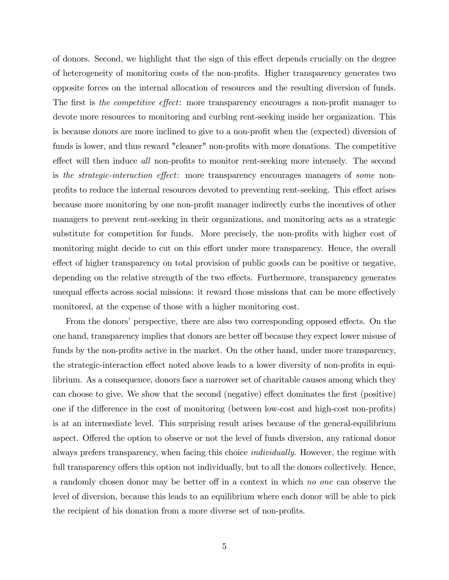of donors. Second, we highlight that the sign of this effect depends crucially on the degree of heterogeneity of monitoring costs of the non-profits. Higher transparency generates two opposite forces on the internal allocation of resources and the resulting diversion of funds. The first is the competitive effect: more transparency encourages a non-profit manager to devote more resources to monitoring and curbing rent-seeking inside her organization. This is because donors are more inclined to give to a non-profit when the (expected) diversion of funds is lower, and thus reward "cleaner" non-profits with more donations. The competitive effect will then induce all non-profits to monitor rent-seeking more intensely. The second is the strategic-interaction effect: more transparency encourages managers of some nonprofits to reduce the internal resources devoted to preventing rent-seeking. This effect arises because more monitoring by one non-profit manager indirectly curbs the incentives of other managers to prevent rent-seeking in their organizations, and monitoring acts as a strategic substitute for competition for funds. More precisely, the non-profits with higher cost of monitoring might decide to cut on this effort under more transparency. Hence, the overall effect of higher transparency on total provision of public goods can be positive or negative, depending on the relative strength of the two effects. Furthermore, transparency generates unequal effects across social missions: it reward those missions that can be more effectively monitored, at the expense of those with a higher monitoring cost.

From the donors' perspective, there are also two corresponding opposed effects. On the one hand, transparency implies that donors are better off because they expect lower misuse of funds by the non-profits active in the market. On the other hand, under more transparency, the strategic-interaction effect noted above leads to a lower diversity of non-profits in equilibrium. As a consequence, donors face a narrower set of charitable causes among which they can choose to give. We show that the second (negative) effect dominates the first (positive) one if the difference in the cost of monitoring (between low-cost and high-cost non-profits) is at an intermediate level. This surprising result arises because of the general-equilibrium aspect. Offered the option to observe or not the level of funds diversion, any rational donor always prefers transparency, when facing this choice individually. However, the regime with full transparency offers this option not individually, but to all the donors collectively. Hence, a randomly chosen donor may be better off in a context in which no one can observe the level of diversion, because this leads to an equilibrium where each donor will be able to pick the recipient of his donation from a more diverse set of non-profits.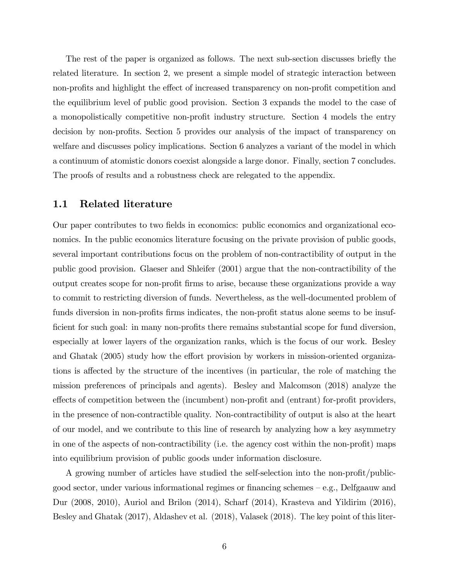The rest of the paper is organized as follows. The next sub-section discusses briefly the related literature. In section 2, we present a simple model of strategic interaction between non-profits and highlight the effect of increased transparency on non-profit competition and the equilibrium level of public good provision. Section 3 expands the model to the case of a monopolistically competitive non-profit industry structure. Section 4 models the entry decision by non-profits. Section 5 provides our analysis of the impact of transparency on welfare and discusses policy implications. Section 6 analyzes a variant of the model in which a continuum of atomistic donors coexist alongside a large donor. Finally, section 7 concludes. The proofs of results and a robustness check are relegated to the appendix.

#### 1.1 Related literature

Our paper contributes to two fields in economics: public economics and organizational economics. In the public economics literature focusing on the private provision of public goods, several important contributions focus on the problem of non-contractibility of output in the public good provision. Glaeser and Shleifer (2001) argue that the non-contractibility of the output creates scope for non-profit firms to arise, because these organizations provide a way to commit to restricting diversion of funds. Nevertheless, as the well-documented problem of funds diversion in non-profits firms indicates, the non-profit status alone seems to be insufficient for such goal: in many non-profits there remains substantial scope for fund diversion, especially at lower layers of the organization ranks, which is the focus of our work. Besley and Ghatak (2005) study how the effort provision by workers in mission-oriented organizations is affected by the structure of the incentives (in particular, the role of matching the mission preferences of principals and agents). Besley and Malcomson (2018) analyze the effects of competition between the (incumbent) non-profit and (entrant) for-profit providers, in the presence of non-contractible quality. Non-contractibility of output is also at the heart of our model, and we contribute to this line of research by analyzing how a key asymmetry in one of the aspects of non-contractibility (i.e. the agency cost within the non-profit) maps into equilibrium provision of public goods under information disclosure.

A growing number of articles have studied the self-selection into the non-profit/publicgood sector, under various informational regimes or financing schemes  $-e.g.,$  Delfgaauw and Dur (2008, 2010), Auriol and Brilon (2014), Scharf (2014), Krasteva and Yildirim (2016), Besley and Ghatak (2017), Aldashev et al. (2018), Valasek (2018). The key point of this liter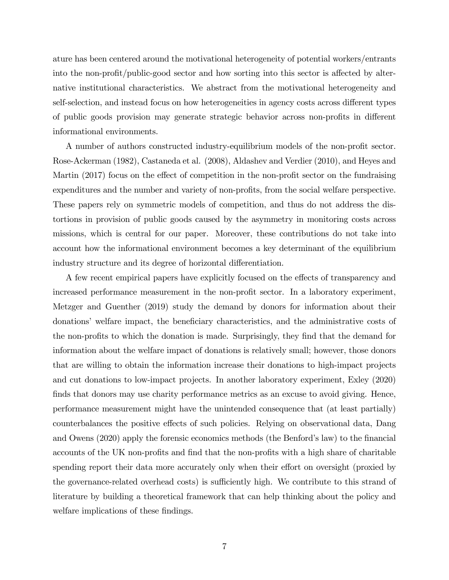ature has been centered around the motivational heterogeneity of potential workers/entrants into the non-profit/public-good sector and how sorting into this sector is affected by alternative institutional characteristics. We abstract from the motivational heterogeneity and self-selection, and instead focus on how heterogeneities in agency costs across different types of public goods provision may generate strategic behavior across non-profits in different informational environments.

A number of authors constructed industry-equilibrium models of the non-profit sector. Rose-Ackerman (1982), Castaneda et al. (2008), Aldashev and Verdier (2010), and Heyes and Martin  $(2017)$  focus on the effect of competition in the non-profit sector on the fundraising expenditures and the number and variety of non-profits, from the social welfare perspective. These papers rely on symmetric models of competition, and thus do not address the distortions in provision of public goods caused by the asymmetry in monitoring costs across missions, which is central for our paper. Moreover, these contributions do not take into account how the informational environment becomes a key determinant of the equilibrium industry structure and its degree of horizontal differentiation.

A few recent empirical papers have explicitly focused on the effects of transparency and increased performance measurement in the non-profit sector. In a laboratory experiment, Metzger and Guenther (2019) study the demand by donors for information about their donations' welfare impact, the beneficiary characteristics, and the administrative costs of the non-profits to which the donation is made. Surprisingly, they find that the demand for information about the welfare impact of donations is relatively small; however, those donors that are willing to obtain the information increase their donations to high-impact projects and cut donations to low-impact projects. In another laboratory experiment, Exley (2020) finds that donors may use charity performance metrics as an excuse to avoid giving. Hence, performance measurement might have the unintended consequence that (at least partially) counterbalances the positive effects of such policies. Relying on observational data, Dang and Owens (2020) apply the forensic economics methods (the Benford's law) to the financial accounts of the UK non-profits and find that the non-profits with a high share of charitable spending report their data more accurately only when their effort on oversight (proxied by the governance-related overhead costs) is sufficiently high. We contribute to this strand of literature by building a theoretical framework that can help thinking about the policy and welfare implications of these findings.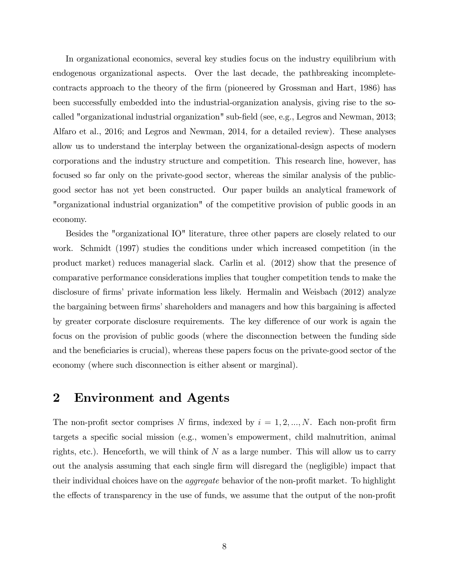In organizational economics, several key studies focus on the industry equilibrium with endogenous organizational aspects. Over the last decade, the pathbreaking incompletecontracts approach to the theory of the firm (pioneered by Grossman and Hart, 1986) has been successfully embedded into the industrial-organization analysis, giving rise to the socalled "organizational industrial organization" sub-field (see, e.g., Legros and Newman, 2013; Alfaro et al., 2016; and Legros and Newman, 2014, for a detailed review). These analyses allow us to understand the interplay between the organizational-design aspects of modern corporations and the industry structure and competition. This research line, however, has focused so far only on the private-good sector, whereas the similar analysis of the publicgood sector has not yet been constructed. Our paper builds an analytical framework of "organizational industrial organization" of the competitive provision of public goods in an economy.

Besides the "organizational IO" literature, three other papers are closely related to our work. Schmidt (1997) studies the conditions under which increased competition (in the product market) reduces managerial slack. Carlin et al. (2012) show that the presence of comparative performance considerations implies that tougher competition tends to make the disclosure of firms' private information less likely. Hermalin and Weisbach (2012) analyze the bargaining between firms' shareholders and managers and how this bargaining is affected by greater corporate disclosure requirements. The key difference of our work is again the focus on the provision of public goods (where the disconnection between the funding side and the beneficiaries is crucial), whereas these papers focus on the private-good sector of the economy (where such disconnection is either absent or marginal).

### 2 Environment and Agents

The non-profit sector comprises N firms, indexed by  $i = 1, 2, ..., N$ . Each non-profit firm targets a specific social mission (e.g., women's empowerment, child malnutrition, animal rights, etc.). Henceforth, we will think of  $N$  as a large number. This will allow us to carry out the analysis assuming that each single Örm will disregard the (negligible) impact that their individual choices have on the *aggregate* behavior of the non-profit market. To highlight the effects of transparency in the use of funds, we assume that the output of the non-profit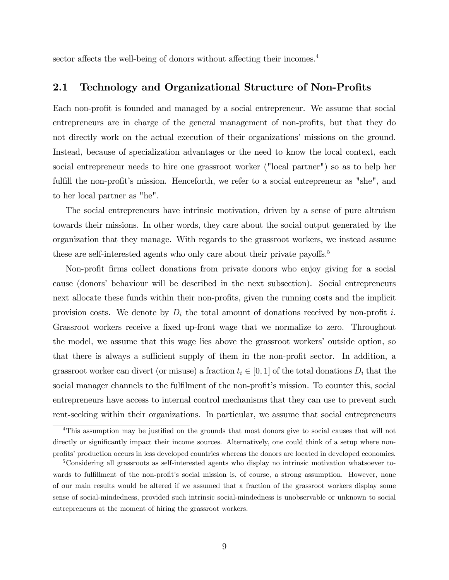sector affects the well-being of donors without affecting their incomes.<sup>4</sup>

### 2.1 Technology and Organizational Structure of Non-Profits

Each non-profit is founded and managed by a social entrepreneur. We assume that social entrepreneurs are in charge of the general management of non-profits, but that they do not directly work on the actual execution of their organizations' missions on the ground. Instead, because of specialization advantages or the need to know the local context, each social entrepreneur needs to hire one grassroot worker ("local partner") so as to help her fulfill the non-profit's mission. Henceforth, we refer to a social entrepreneur as "she", and to her local partner as "he".

The social entrepreneurs have intrinsic motivation, driven by a sense of pure altruism towards their missions. In other words, they care about the social output generated by the organization that they manage. With regards to the grassroot workers, we instead assume these are self-interested agents who only care about their private payoffs.<sup>5</sup>

Non-profit firms collect donations from private donors who enjoy giving for a social cause (donors' behaviour will be described in the next subsection). Social entrepreneurs next allocate these funds within their non-profits, given the running costs and the implicit provision costs. We denote by  $D_i$  the total amount of donations received by non-profit i. Grassroot workers receive a fixed up-front wage that we normalize to zero. Throughout the model, we assume that this wage lies above the grassroot workersí outside option, so that there is always a sufficient supply of them in the non-profit sector. In addition, a grassroot worker can divert (or misuse) a fraction  $t_i \in [0, 1]$  of the total donations  $D_i$  that the social manager channels to the fulfilment of the non-profit's mission. To counter this, social entrepreneurs have access to internal control mechanisms that they can use to prevent such rent-seeking within their organizations. In particular, we assume that social entrepreneurs

<sup>&</sup>lt;sup>4</sup>This assumption may be justified on the grounds that most donors give to social causes that will not directly or significantly impact their income sources. Alternatively, one could think of a setup where nonprofits' production occurs in less developed countries whereas the donors are located in developed economies.

<sup>5</sup>Considering all grassroots as self-interested agents who display no intrinsic motivation whatsoever towards to fulfillment of the non-profit's social mission is, of course, a strong assumption. However, none of our main results would be altered if we assumed that a fraction of the grassroot workers display some sense of social-mindedness, provided such intrinsic social-mindedness is unobservable or unknown to social entrepreneurs at the moment of hiring the grassroot workers.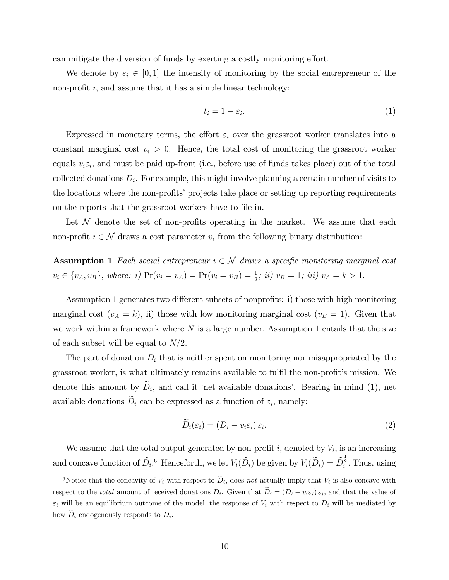can mitigate the diversion of funds by exerting a costly monitoring effort.

We denote by  $\varepsilon_i \in [0, 1]$  the intensity of monitoring by the social entrepreneur of the non-profit  $i$ , and assume that it has a simple linear technology:

$$
t_i = 1 - \varepsilon_i. \tag{1}
$$

Expressed in monetary terms, the effort  $\varepsilon_i$  over the grassroot worker translates into a constant marginal cost  $v_i > 0$ . Hence, the total cost of monitoring the grassroot worker equals  $v_i \varepsilon_i$ , and must be paid up-front (i.e., before use of funds takes place) out of the total collected donations  $D_i$ . For example, this might involve planning a certain number of visits to the locations where the non-profits' projects take place or setting up reporting requirements on the reports that the grassroot workers have to file in.

Let  $\mathcal N$  denote the set of non-profits operating in the market. We assume that each non-profit  $i \in \mathcal{N}$  draws a cost parameter  $v_i$  from the following binary distribution:

**Assumption 1** Each social entrepreneur  $i \in \mathcal{N}$  draws a specific monitoring marginal cost  $v_i \in \{v_A, v_B\},\text{ where: } i) \Pr(v_i = v_A) = \Pr(v_i = v_B) = \frac{1}{2};\text{ } ii) \ v_B = 1;\text{ } iii) \ v_A = k > 1.$ 

Assumption 1 generates two different subsets of nonprofits: i) those with high monitoring marginal cost  $(v_A = k)$ , ii) those with low monitoring marginal cost  $(v_B = 1)$ . Given that we work within a framework where  $N$  is a large number, Assumption 1 entails that the size of each subset will be equal to  $N/2$ .

The part of donation  $D_i$  that is neither spent on monitoring nor misappropriated by the grassroot worker, is what ultimately remains available to fulfil the non-profit's mission. We denote this amount by  $D_i$ , and call it 'net available donations'. Bearing in mind (1), net available donations  $D_i$  can be expressed as a function of  $\varepsilon_i$ , namely:

$$
D_i(\varepsilon_i) = (D_i - v_i \varepsilon_i) \varepsilon_i.
$$
\n(2)

We assume that the total output generated by non-profit  $i$ , denoted by  $V_i$ , is an increasing and concave function of  $\widetilde{D}_i$ .<sup>6</sup> Henceforth, we let  $V_i(\widetilde{D}_i)$  be given by  $V_i(\widetilde{D}_i) = \widetilde{D}_i^{\frac{1}{2}}$ . Thus, using

<sup>&</sup>lt;sup>6</sup>Notice that the concavity of  $V_i$  with respect to  $\tilde{D}_i$ , does not actually imply that  $V_i$  is also concave with respect to the *total* amount of received donations  $D_i$ . Given that  $D_i = (D_i - v_i \varepsilon_i) \varepsilon_i$ , and that the value of  $\varepsilon_i$  will be an equilibrium outcome of the model, the response of  $V_i$  with respect to  $D_i$  will be mediated by how  $D_i$  endogenously responds to  $D_i$ .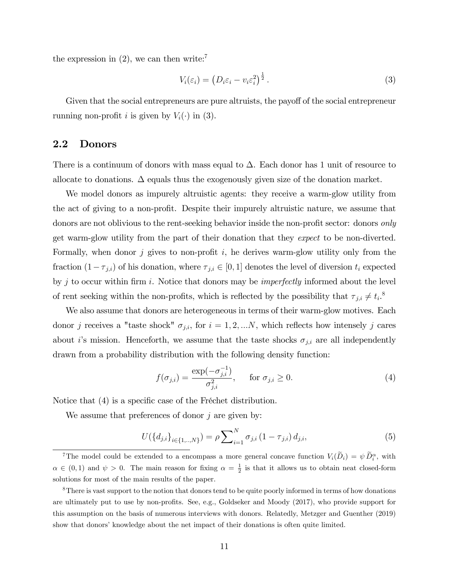the expression in  $(2)$ , we can then write:<sup>7</sup>

$$
V_i(\varepsilon_i) = \left(D_i \varepsilon_i - v_i \varepsilon_i^2\right)^{\frac{1}{2}}.
$$
\n(3)

Given that the social entrepreneurs are pure altruists, the payoff of the social entrepreneur running non-profit *i* is given by  $V_i(\cdot)$  in (3).

### 2.2 Donors

There is a continuum of donors with mass equal to  $\Delta$ . Each donor has 1 unit of resource to allocate to donations.  $\Delta$  equals thus the exogenously given size of the donation market.

We model donors as impurely altruistic agents: they receive a warm-glow utility from the act of giving to a non-profit. Despite their impurely altruistic nature, we assume that donors are not oblivious to the rent-seeking behavior inside the non-profit sector: donors *only* get warm-glow utility from the part of their donation that they expect to be non-diverted. Formally, when donor j gives to non-profit i, he derives warm-glow utility only from the fraction  $(1 - \tau_{j,i})$  of his donation, where  $\tau_{j,i} \in [0, 1]$  denotes the level of diversion  $t_i$  expected by j to occur within firm i. Notice that donors may be *imperfectly* informed about the level of rent seeking within the non-profits, which is reflected by the possibility that  $\tau_{j,i} \neq t_i$ <sup>8</sup>

We also assume that donors are heterogeneous in terms of their warm-glow motives. Each donor j receives a "taste shock"  $\sigma_{j,i}$ , for  $i = 1, 2, ...N$ , which reflects how intensely j cares about i's mission. Henceforth, we assume that the taste shocks  $\sigma_{j,i}$  are all independently drawn from a probability distribution with the following density function:

$$
f(\sigma_{j,i}) = \frac{\exp(-\sigma_{j,i}^{-1})}{\sigma_{j,i}^2}, \quad \text{for } \sigma_{j,i} \ge 0.
$$
 (4)

Notice that  $(4)$  is a specific case of the Fréchet distribution.

We assume that preferences of donor  $j$  are given by:

$$
U(\lbrace d_{j,i} \rbrace_{i \in \lbrace 1, \ldots, N \rbrace}) = \rho \sum_{i=1}^{N} \sigma_{j,i} (1 - \tau_{j,i}) d_{j,i}, \qquad (5)
$$

<sup>&</sup>lt;sup>7</sup>The model could be extended to a encompass a more general concave function  $V_i(D_i) = \psi \hat{D}_i^{\alpha}$ , with  $\alpha \in (0,1)$  and  $\psi > 0$ . The main reason for fixing  $\alpha = \frac{1}{2}$  is that it allows us to obtain neat closed-form solutions for most of the main results of the paper.

<sup>&</sup>lt;sup>8</sup>There is vast support to the notion that donors tend to be quite poorly informed in terms of how donations are ultimately put to use by non-profits. See, e.g., Goldseker and Moody (2017), who provide support for this assumption on the basis of numerous interviews with donors. Relatedly, Metzger and Guenther (2019) show that donors' knowledge about the net impact of their donations is often quite limited.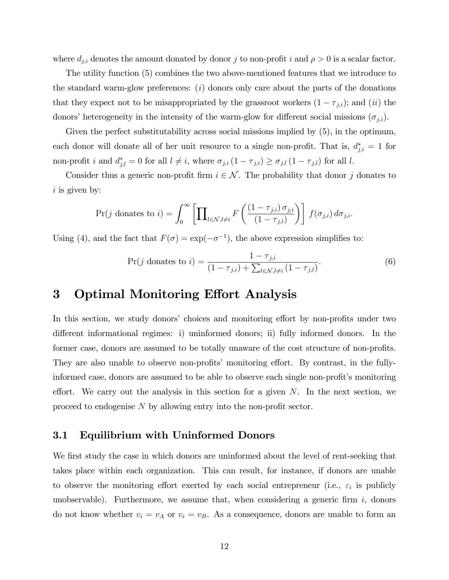where  $d_{j,i}$  denotes the amount donated by donor j to non-profit i and  $\rho > 0$  is a scalar factor.

The utility function (5) combines the two above-mentioned features that we introduce to the standard warm-glow preferences:  $(i)$  donors only care about the parts of the donations that they expect not to be misappropriated by the grassroot workers  $(1 - \tau_{j,i})$ ; and  $(ii)$  the donors' heterogeneity in the intensity of the warm-glow for different social missions  $(\sigma_{j,i})$ .

Given the perfect substitutability across social missions implied by (5), in the optimum, each donor will donate all of her unit resource to a single non-profit. That is,  $d_{j,i}^* = 1$  for non-profit *i* and  $d_{j,l}^* = 0$  for all  $l \neq i$ , where  $\sigma_{j,i} (1 - \tau_{j,i}) \ge \sigma_{j,l} (1 - \tau_{j,l})$  for all *l*.

Consider thus a generic non-profit firm  $i \in \mathcal{N}$ . The probability that donor j donates to  $i$  is given by:

$$
\Pr(j \text{ donates to } i) = \int_0^\infty \left[ \prod_{l \in \mathcal{N}, l \neq i} F\left( \frac{(1 - \tau_{j,i}) \sigma_{j,i}}{(1 - \tau_{j,l})} \right) \right] f(\sigma_{j,i}) d\sigma_{j,i}.
$$

Using (4), and the fact that  $F(\sigma) = \exp(-\sigma^{-1})$ , the above expression simplifies to:

$$
\Pr(j \text{ donates to } i) = \frac{1 - \tau_{j,i}}{(1 - \tau_{j,i}) + \sum_{l \in \mathcal{N}, l \neq i} (1 - \tau_{j,l})}.
$$
 (6)

## 3 Optimal Monitoring Effort Analysis

In this section, we study donors' choices and monitoring effort by non-profits under two different informational regimes: i) uninformed donors; ii) fully informed donors. In the former case, donors are assumed to be totally unaware of the cost structure of non-profits. They are also unable to observe non-profits' monitoring effort. By contrast, in the fullyinformed case, donors are assumed to be able to observe each single non-profit's monitoring effort. We carry out the analysis in this section for a given  $N$ . In the next section, we proceed to endogenise  $N$  by allowing entry into the non-profit sector.

### 3.1 Equilibrium with Uninformed Donors

We first study the case in which donors are uninformed about the level of rent-seeking that takes place within each organization. This can result, for instance, if donors are unable to observe the monitoring effort exerted by each social entrepreneur (i.e.,  $\varepsilon_i$  is publicly unobservable). Furthermore, we assume that, when considering a generic firm  $i$ , donors do not know whether  $v_i = v_A$  or  $v_i = v_B$ . As a consequence, donors are unable to form an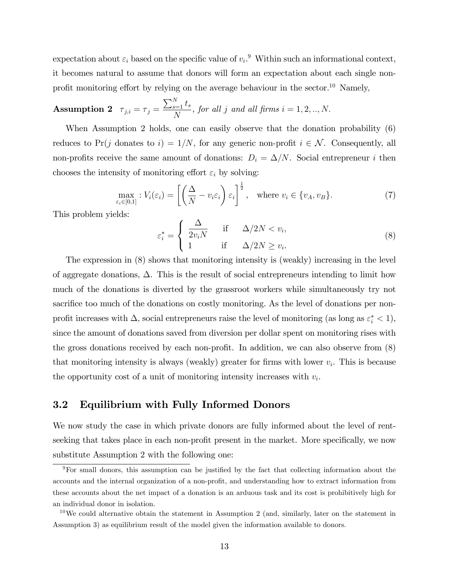expectation about  $\varepsilon_i$  based on the specific value of  $v_i$ . Within such an informational context, it becomes natural to assume that donors will form an expectation about each single nonprofit monitoring effort by relying on the average behaviour in the sector.<sup>10</sup> Namely,

**Assumption 2** 
$$
\tau_{j,i} = \tau_j = \frac{\sum_{s=1}^{N} t_s}{N}
$$
, for all j and all firms  $i = 1, 2, ..., N$ .

When Assumption 2 holds, one can easily observe that the donation probability  $(6)$ reduces to Pr(j donates to i) =  $1/N$ , for any generic non-profit  $i \in \mathcal{N}$ . Consequently, all non-profits receive the same amount of donations:  $D_i = \Delta/N$ . Social entrepreneur i then chooses the intensity of monitoring effort  $\varepsilon_i$  by solving:

$$
\max_{\varepsilon_i \in [0,1]} V_i(\varepsilon_i) = \left[ \left( \frac{\Delta}{N} - v_i \varepsilon_i \right) \varepsilon_i \right]^{\frac{1}{2}}, \text{ where } v_i \in \{v_A, v_B\}. \tag{7}
$$

This problem yields:

$$
\varepsilon_i^* = \begin{cases} \frac{\Delta}{2v_i N} & \text{if } \Delta/2N < v_i, \\ 1 & \text{if } \Delta/2N \ge v_i. \end{cases}
$$
 (8)

The expression in (8) shows that monitoring intensity is (weakly) increasing in the level of aggregate donations,  $\Delta$ . This is the result of social entrepreneurs intending to limit how much of the donations is diverted by the grassroot workers while simultaneously try not sacrifice too much of the donations on costly monitoring. As the level of donations per nonprofit increases with  $\Delta$ , social entrepreneurs raise the level of monitoring (as long as  $\varepsilon_i^* < 1$ ), since the amount of donations saved from diversion per dollar spent on monitoring rises with the gross donations received by each non-profit. In addition, we can also observe from  $(8)$ that monitoring intensity is always (weakly) greater for firms with lower  $v_i$ . This is because the opportunity cost of a unit of monitoring intensity increases with  $v_i$ .

### 3.2 Equilibrium with Fully Informed Donors

We now study the case in which private donors are fully informed about the level of rentseeking that takes place in each non-profit present in the market. More specifically, we now substitute Assumption 2 with the following one:

<sup>&</sup>lt;sup>9</sup>For small donors, this assumption can be justified by the fact that collecting information about the accounts and the internal organization of a non-profit, and understanding how to extract information from these accounts about the net impact of a donation is an arduous task and its cost is prohibitively high for an individual donor in isolation.

 $10\,\text{We could alternative obtain the statement in Assumption 2 (and, similarly, later on the statement in$ Assumption 3) as equilibrium result of the model given the information available to donors.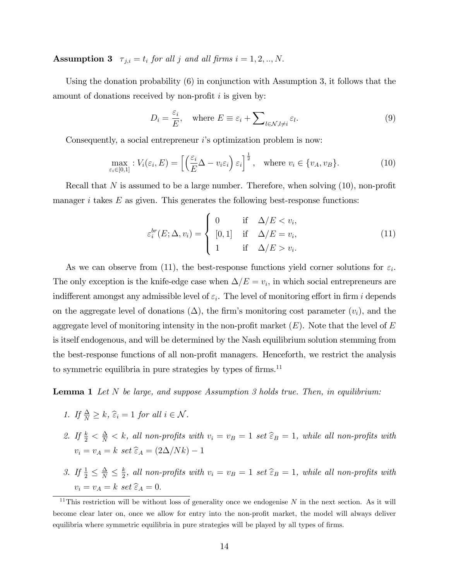Assumption 3  $\tau_{j,i} = t_i$  for all j and all firms  $i = 1, 2, ..., N$ .

Using the donation probability (6) in conjunction with Assumption 3, it follows that the amount of donations received by non-profit  $i$  is given by:

$$
D_i = \frac{\varepsilon_i}{E}, \quad \text{where } E \equiv \varepsilon_i + \sum_{l \in \mathcal{N}, l \neq i} \varepsilon_l.
$$
 (9)

Consequently, a social entrepreneur  $i$ 's optimization problem is now:

$$
\max_{\varepsilon_i \in [0,1]} V_i(\varepsilon_i, E) = \left[ \left( \frac{\varepsilon_i}{E} \Delta - v_i \varepsilon_i \right) \varepsilon_i \right]^{\frac{1}{2}}, \text{ where } v_i \in \{v_A, v_B\}. \tag{10}
$$

Recall that N is assumed to be a large number. Therefore, when solving  $(10)$ , non-profit manager  $i$  takes  $E$  as given. This generates the following best-response functions:

$$
\varepsilon_i^{br}(E; \Delta, v_i) = \begin{cases}\n0 & \text{if } \Delta/E < v_i, \\
[0, 1] & \text{if } \Delta/E = v_i, \\
1 & \text{if } \Delta/E > v_i.\n\end{cases}
$$
\n(11)

As we can observe from (11), the best-response functions yield corner solutions for  $\varepsilon_i$ . The only exception is the knife-edge case when  $\Delta/E = v_i$ , in which social entrepreneurs are indifferent amongst any admissible level of  $\varepsilon_i$ . The level of monitoring effort in firm i depends on the aggregate level of donations  $(\Delta)$ , the firm's monitoring cost parameter  $(v_i)$ , and the aggregate level of monitoring intensity in the non-profit market  $(E)$ . Note that the level of E is itself endogenous, and will be determined by the Nash equilibrium solution stemming from the best-response functions of all non-profit managers. Henceforth, we restrict the analysis to symmetric equilibria in pure strategies by types of firms.<sup>11</sup>

**Lemma 1** Let  $N$  be large, and suppose Assumption 3 holds true. Then, in equilibrium:

- 1. If  $\frac{\Delta}{N} \geq k$ ,  $\widehat{\varepsilon}_i = 1$  for all  $i \in \mathcal{N}$ .
- 2. If  $\frac{k}{2} < \frac{\Delta}{N} < k$ , all non-profits with  $v_i = v_B = 1$  set  $\widehat{\epsilon}_B = 1$ , while all non-profits with  $v_i = v_A = k \text{ set } \widehat{\epsilon}_A = (2\Delta/Nk) - 1$
- 3. If  $\frac{1}{2} \leq \frac{\Delta}{N} \leq \frac{k}{2}$  $\frac{k}{2}$ , all non-profits with  $v_i = v_B = 1$  set  $\widehat{\epsilon}_B = 1$ , while all non-profits with  $v_i = v_A = k \text{ set } \widehat{\varepsilon}_A = 0.$

<sup>&</sup>lt;sup>11</sup>This restriction will be without loss of generality once we endogenise N in the next section. As it will become clear later on, once we allow for entry into the non-profit market, the model will always deliver equilibria where symmetric equilibria in pure strategies will be played by all types of firms.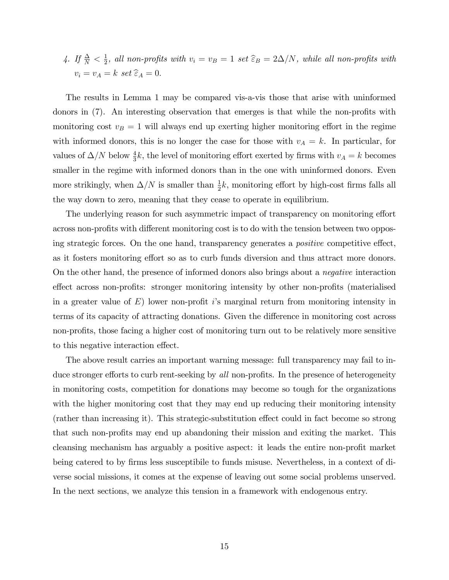4. If  $\frac{\Delta}{N} < \frac{1}{2}$  $\frac{1}{2}$ , all non-profits with  $v_i = v_B = 1$  set  $\widehat{\epsilon}_B = 2\Delta/N$ , while all non-profits with  $v_i = v_A = k \text{ set } \widehat{\varepsilon}_A = 0.$ 

The results in Lemma 1 may be compared vis-a-vis those that arise with uninformed donors in  $(7)$ . An interesting observation that emerges is that while the non-profits with monitoring cost  $v_B = 1$  will always end up exerting higher monitoring effort in the regime with informed donors, this is no longer the case for those with  $v_A = k$ . In particular, for values of  $\Delta/N$  below  $\frac{4}{3}k$ , the level of monitoring effort exerted by firms with  $v_A = k$  becomes smaller in the regime with informed donors than in the one with uninformed donors. Even more strikingly, when  $\Delta/N$  is smaller than  $\frac{1}{2}k$ , monitoring effort by high-cost firms falls all the way down to zero, meaning that they cease to operate in equilibrium.

The underlying reason for such asymmetric impact of transparency on monitoring effort across non-profits with different monitoring cost is to do with the tension between two opposing strategic forces. On the one hand, transparency generates a *positive* competitive effect, as it fosters monitoring effort so as to curb funds diversion and thus attract more donors. On the other hand, the presence of informed donors also brings about a negative interaction effect across non-profits: stronger monitoring intensity by other non-profits (materialised in a greater value of  $E$ ) lower non-profit is marginal return from monitoring intensity in terms of its capacity of attracting donations. Given the difference in monitoring cost across non-profits, those facing a higher cost of monitoring turn out to be relatively more sensitive to this negative interaction effect.

The above result carries an important warning message: full transparency may fail to induce stronger efforts to curb rent-seeking by all non-profits. In the presence of heterogeneity in monitoring costs, competition for donations may become so tough for the organizations with the higher monitoring cost that they may end up reducing their monitoring intensity (rather than increasing it). This strategic-substitution effect could in fact become so strong that such non-profits may end up abandoning their mission and exiting the market. This cleansing mechanism has arguably a positive aspect: it leads the entire non-profit market being catered to by firms less susceptibile to funds misuse. Nevertheless, in a context of diverse social missions, it comes at the expense of leaving out some social problems unserved. In the next sections, we analyze this tension in a framework with endogenous entry.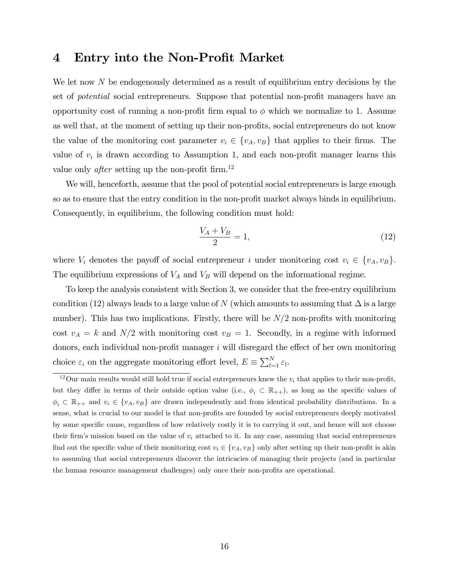### 4 Entry into the Non-Profit Market

We let now  $N$  be endogenously determined as a result of equilibrium entry decisions by the set of *potential* social entrepreneurs. Suppose that potential non-profit managers have an opportunity cost of running a non-profit firm equal to  $\phi$  which we normalize to 1. Assume as well that, at the moment of setting up their non-profits, social entrepreneurs do not know the value of the monitoring cost parameter  $v_i \in \{v_A, v_B\}$  that applies to their firms. The value of  $v_i$  is drawn according to Assumption 1, and each non-profit manager learns this value only *after* setting up the non-profit firm.<sup>12</sup>

We will, henceforth, assume that the pool of potential social entrepreneurs is large enough so as to ensure that the entry condition in the non-profit market always binds in equilibrium. Consequently, in equilibrium, the following condition must hold:

$$
\frac{V_A + V_B}{2} = 1,\tag{12}
$$

where  $V_i$  denotes the payoff of social entrepreneur i under monitoring cost  $v_i \in \{v_A, v_B\}$ . The equilibrium expressions of  $V_A$  and  $V_B$  will depend on the informational regime.

To keep the analysis consistent with Section 3, we consider that the free-entry equilibrium condition (12) always leads to a large value of N (which amounts to assuming that  $\Delta$  is a large number). This has two implications. Firstly, there will be  $N/2$  non-profits with monitoring cost  $v_A = k$  and  $N/2$  with monitoring cost  $v_B = 1$ . Secondly, in a regime with informed donors, each individual non-profit manager  $i$  will disregard the effect of her own monitoring choice  $\varepsilon_i$  on the aggregate monitoring effort level,  $E \equiv \sum_{l=1}^{N} \varepsilon_l$ .

<sup>&</sup>lt;sup>12</sup>Our main results would still hold true if social entrepreneurs knew the  $v_i$  that applies to their non-profit, but they differ in terms of their outside option value (i.e.,  $\phi_i \subset \mathbb{R}_{++}$ ), as long as the specific values of  $\phi_i \subset \mathbb{R}_{++}$  and  $v_i \in \{v_A, v_B\}$  are drawn independently and from identical probability distributions. In a sense, what is crucial to our model is that non-profits are founded by social entrepreneurs deeply motivated by some specific cause, regardless of how relatively costly it is to carrying it out, and hence will not choose their firm's mission based on the value of  $v_i$  attached to it. In any case, assuming that social entrepreneurs find out the specific value of their monitoring cost  $v_i \in \{v_A, v_B\}$  only after setting up their non-profit is akin to assuming that social entrepreneurs discover the intricacies of managing their projects (and in particular the human resource management challenges) only once their non-profits are operational.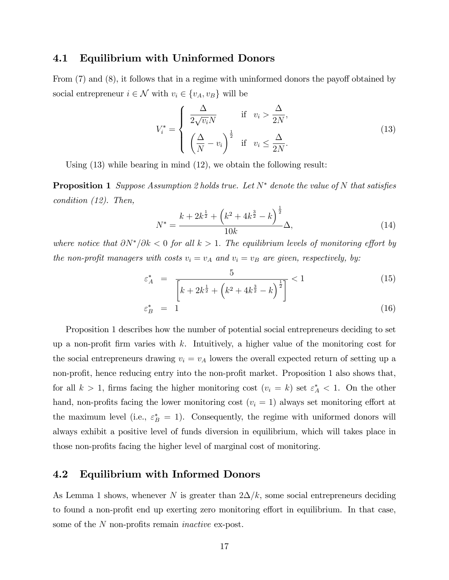### 4.1 Equilibrium with Uninformed Donors

From  $(7)$  and  $(8)$ , it follows that in a regime with uninformed donors the payoff obtained by social entrepreneur  $i \in \mathcal{N}$  with  $v_i \in \{v_A, v_B\}$  will be

$$
V_i^* = \begin{cases} \frac{\Delta}{2\sqrt{v_i}N} & \text{if } v_i > \frac{\Delta}{2N}, \\ \left(\frac{\Delta}{N} - v_i\right)^{\frac{1}{2}} & \text{if } v_i \le \frac{\Delta}{2N}. \end{cases}
$$
(13)

Using (13) while bearing in mind (12), we obtain the following result:

**Proposition 1** Suppose Assumption 2 holds true. Let  $N^*$  denote the value of N that satisfies condition (12). Then,

$$
N^* = \frac{k + 2k^{\frac{1}{2}} + \left(k^2 + 4k^{\frac{3}{2}} - k\right)^{\frac{1}{2}}}{10k} \Delta,
$$
\n(14)

where notice that  $\partial N^*/\partial k < 0$  for all  $k > 1$ . The equilibrium levels of monitoring effort by the non-profit managers with costs  $v_i = v_A$  and  $v_i = v_B$  are given, respectively, by:

$$
\varepsilon_A^* = \frac{5}{\left[k + 2k^{\frac{1}{2}} + \left(k^2 + 4k^{\frac{3}{2}} - k\right)^{\frac{1}{2}}\right]} < 1
$$
\n(15)

$$
\varepsilon_B^* = 1 \tag{16}
$$

Proposition 1 describes how the number of potential social entrepreneurs deciding to set up a non-profit firm varies with  $k$ . Intuitively, a higher value of the monitoring cost for the social entrepreneurs drawing  $v_i = v_A$  lowers the overall expected return of setting up a non-profit, hence reducing entry into the non-profit market. Proposition 1 also shows that, for all  $k > 1$ , firms facing the higher monitoring cost  $(v_i = k)$  set  $\varepsilon_A^* < 1$ . On the other hand, non-profits facing the lower monitoring cost  $(v<sub>i</sub> = 1)$  always set monitoring effort at the maximum level (i.e.,  $\varepsilon_B^* = 1$ ). Consequently, the regime with uniformed donors will always exhibit a positive level of funds diversion in equilibrium, which will takes place in those non-profits facing the higher level of marginal cost of monitoring.

### 4.2 Equilibrium with Informed Donors

As Lemma 1 shows, whenever N is greater than  $2\Delta/k$ , some social entrepreneurs deciding to found a non-profit end up exerting zero monitoring effort in equilibrium. In that case, some of the  $N$  non-profits remain *inactive* ex-post.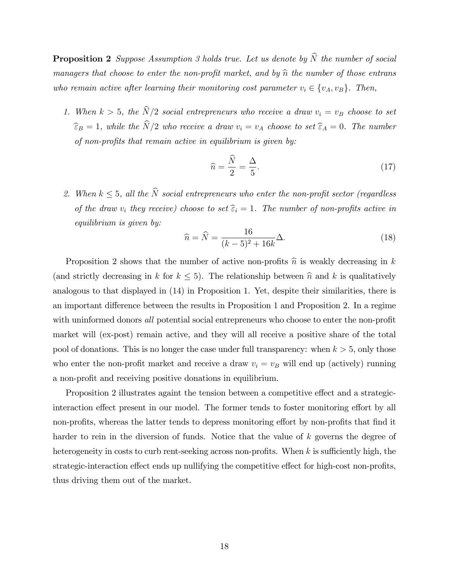**Proposition 2** Suppose Assumption 3 holds true. Let us denote by  $\widehat{N}$  the number of social managers that choose to enter the non-profit market, and by  $\hat{n}$  the number of those entrans who remain active after learning their monitoring cost parameter  $v_i \in \{v_A, v_B\}$ . Then,

1. When  $k > 5$ , the  $\widehat{N}/2$  social entrepreneurs who receive a draw  $v_i = v_B$  choose to set  $\widehat{\epsilon}_B = 1$ , while the  $\widehat{N}/2$  who receive a draw  $v_i = v_A$  choose to set  $\widehat{\epsilon}_A = 0$ . The number of non-profits that remain active in equilibrium is given by:

$$
\widehat{n} = \frac{\widehat{N}}{2} = \frac{\Delta}{5}.\tag{17}
$$

2. When  $k \leq 5$ , all the  $\widehat{N}$  social entrepreneurs who enter the non-profit sector (regardless of the draw  $v_i$  they receive) choose to set  $\hat{\epsilon}_i = 1$ . The number of non-profits active in equilibrium is given by:

$$
\hat{n} = \hat{N} = \frac{16}{(k-5)^2 + 16k} \Delta.
$$
 (18)

Proposition 2 shows that the number of active non-profits  $\hat{n}$  is weakly decreasing in k (and strictly decreasing in k for  $k \leq 5$ ). The relationship between  $\hat{n}$  and k is qualitatively analogous to that displayed in (14) in Proposition 1. Yet, despite their similarities, there is an important difference between the results in Proposition 1 and Proposition 2. In a regime with uninformed donors all potential social entrepreneurs who choose to enter the non-profit market will (ex-post) remain active, and they will all receive a positive share of the total pool of donations. This is no longer the case under full transparency: when  $k > 5$ , only those who enter the non-profit market and receive a draw  $v_i = v_B$  will end up (actively) running a non-profit and receiving positive donations in equilibrium.

Proposition 2 illustrates againt the tension between a competitive effect and a strategicinteraction effect present in our model. The former tends to foster monitoring effort by all non-profits, whereas the latter tends to depress monitoring effort by non-profits that find it harder to rein in the diversion of funds. Notice that the value of k governs the degree of heterogeneity in costs to curb rent-seeking across non-profits. When  $k$  is sufficiently high, the strategic-interaction effect ends up nullifying the competitive effect for high-cost non-profits, thus driving them out of the market.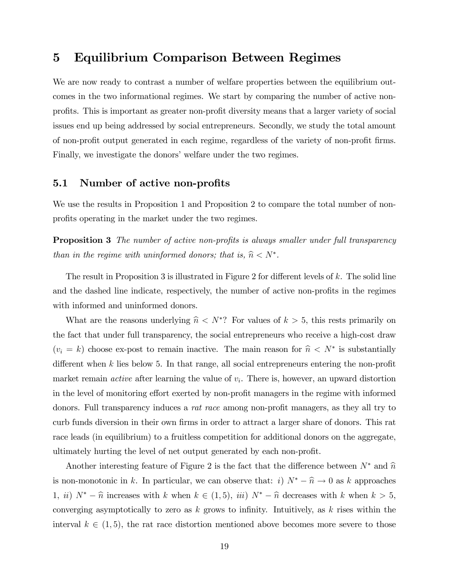# 5 Equilibrium Comparison Between Regimes

We are now ready to contrast a number of welfare properties between the equilibrium outcomes in the two informational regimes. We start by comparing the number of active nonprofits. This is important as greater non-profit diversity means that a larger variety of social issues end up being addressed by social entrepreneurs. Secondly, we study the total amount of non-profit output generated in each regime, regardless of the variety of non-profit firms. Finally, we investigate the donors' welfare under the two regimes.

### 5.1 Number of active non-profits

We use the results in Proposition 1 and Proposition 2 to compare the total number of nonprofits operating in the market under the two regimes.

**Proposition 3** The number of active non-profits is always smaller under full transparency than in the regime with uninformed donors; that is,  $\hat{n} < N^*$ .

The result in Proposition 3 is illustrated in Figure 2 for different levels of  $k$ . The solid line and the dashed line indicate, respectively, the number of active non-profits in the regimes with informed and uninformed donors.

What are the reasons underlying  $\hat{n} < N^*$ ? For values of  $k > 5$ , this rests primarily on the fact that under full transparency, the social entrepreneurs who receive a high-cost draw  $(v_i = k)$  choose ex-post to remain inactive. The main reason for  $\hat{n} < N^*$  is substantially different when  $k$  lies below 5. In that range, all social entrepreneurs entering the non-profit market remain *active* after learning the value of  $v_i$ . There is, however, an upward distortion in the level of monitoring effort exerted by non-profit managers in the regime with informed donors. Full transparency induces a *rat race* among non-profit managers, as they all try to curb funds diversion in their own firms in order to attract a larger share of donors. This rat race leads (in equilibrium) to a fruitless competition for additional donors on the aggregate, ultimately hurting the level of net output generated by each non-profit.

Another interesting feature of Figure 2 is the fact that the difference between  $N^*$  and  $\widehat{n}$ is non-monotonic in k. In particular, we can observe that: i)  $N^* - \hat{n} \to 0$  as k approaches 1, ii)  $N^* - \hat{n}$  increases with k when  $k \in (1, 5)$ , iii)  $N^* - \hat{n}$  decreases with k when  $k > 5$ , converging asymptotically to zero as  $k$  grows to infinity. Intuitively, as  $k$  rises within the interval  $k \in (1, 5)$ , the rat race distortion mentioned above becomes more severe to those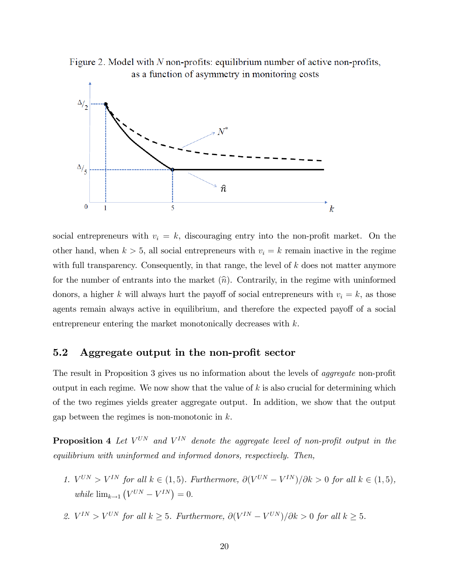Figure 2. Model with  $N$  non-profits: equilibrium number of active non-profits, as a function of asymmetry in monitoring costs



social entrepreneurs with  $v_i = k$ , discouraging entry into the non-profit market. On the other hand, when  $k > 5$ , all social entrepreneurs with  $v_i = k$  remain inactive in the regime with full transparency. Consequently, in that range, the level of  $k$  does not matter anymore for the number of entrants into the market  $(\hat{n})$ . Contrarily, in the regime with uninformed donors, a higher k will always hurt the payoff of social entrepreneurs with  $v_i = k$ , as those agents remain always active in equilibrium, and therefore the expected payoff of a social entrepreneur entering the market monotonically decreases with k.

### 5.2 Aggregate output in the non-profit sector

The result in Proposition 3 gives us no information about the levels of *aggregate* non-profit output in each regime. We now show that the value of  $k$  is also crucial for determining which of the two regimes yields greater aggregate output. In addition, we show that the output gap between the regimes is non-monotonic in  $k$ .

**Proposition 4** Let  $V^{UN}$  and  $V^{IN}$  denote the aggregate level of non-profit output in the equilibrium with uninformed and informed donors, respectively. Then,

- 1.  $V^{UN} > V^{IN}$  for all  $k \in (1, 5)$ . Furthermore,  $\partial (V^{UN} V^{IN})/\partial k > 0$  for all  $k \in (1, 5)$ , while  $\lim_{k \to 1} (V^{UN} - V^{IN}) = 0.$
- 2.  $V^{IN} > V^{UN}$  for all  $k \geq 5$ . Furthermore,  $\partial (V^{IN} V^{UN})/\partial k > 0$  for all  $k \geq 5$ .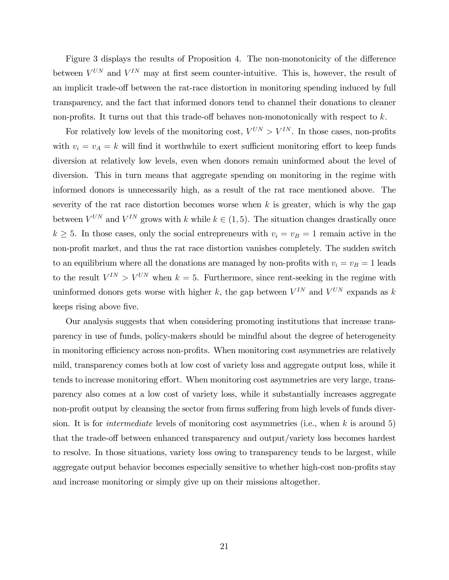Figure 3 displays the results of Proposition 4. The non-monotonicity of the difference between  $V^{UN}$  and  $V^{IN}$  may at first seem counter-intuitive. This is, however, the result of an implicit trade-off between the rat-race distortion in monitoring spending induced by full transparency, and the fact that informed donors tend to channel their donations to cleaner non-profits. It turns out that this trade-off behaves non-monotonically with respect to  $k$ .

For relatively low levels of the monitoring cost,  $V^{UN} > V^{IN}$ . In those cases, non-profits with  $v_i = v_A = k$  will find it worthwhile to exert sufficient monitoring effort to keep funds diversion at relatively low levels, even when donors remain uninformed about the level of diversion. This in turn means that aggregate spending on monitoring in the regime with informed donors is unnecessarily high, as a result of the rat race mentioned above. The severity of the rat race distortion becomes worse when  $k$  is greater, which is why the gap between  $V^{UN}$  and  $V^{IN}$  grows with k while  $k \in (1, 5)$ . The situation changes drastically once  $k \geq 5$ . In those cases, only the social entrepreneurs with  $v_i = v_B = 1$  remain active in the non-profit market, and thus the rat race distortion vanishes completely. The sudden switch to an equilibrium where all the donations are managed by non-profits with  $v_i = v_B = 1$  leads to the result  $V^{IN} > V^{UN}$  when  $k = 5$ . Furthermore, since rent-seeking in the regime with uninformed donors gets worse with higher k, the gap between  $V^{IN}$  and  $V^{UN}$  expands as k keeps rising above five.

Our analysis suggests that when considering promoting institutions that increase transparency in use of funds, policy-makers should be mindful about the degree of heterogeneity in monitoring efficiency across non-profits. When monitoring cost asymmetries are relatively mild, transparency comes both at low cost of variety loss and aggregate output loss, while it tends to increase monitoring effort. When monitoring cost asymmetries are very large, transparency also comes at a low cost of variety loss, while it substantially increases aggregate non-profit output by cleansing the sector from firms suffering from high levels of funds diversion. It is for *intermediate* levels of monitoring cost asymmetries (i.e., when k is around 5) that the trade-off between enhanced transparency and output/variety loss becomes hardest to resolve. In those situations, variety loss owing to transparency tends to be largest, while aggregate output behavior becomes especially sensitive to whether high-cost non-profits stay and increase monitoring or simply give up on their missions altogether.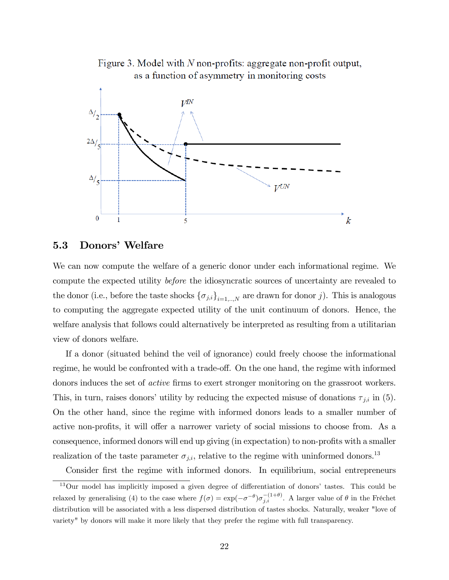

Figure 3. Model with  $N$  non-profits: aggregate non-profit output, as a function of asymmetry in monitoring costs

#### 5.3 Donors' Welfare

We can now compute the welfare of a generic donor under each informational regime. We compute the expected utility before the idiosyncratic sources of uncertainty are revealed to the donor (i.e., before the taste shocks  $\{\sigma_{j,i}\}_{i=1,...,N}$  are drawn for donor j). This is analogous to computing the aggregate expected utility of the unit continuum of donors. Hence, the welfare analysis that follows could alternatively be interpreted as resulting from a utilitarian view of donors welfare.

If a donor (situated behind the veil of ignorance) could freely choose the informational regime, he would be confronted with a trade-off. On the one hand, the regime with informed donors induces the set of *active* firms to exert stronger monitoring on the grassroot workers. This, in turn, raises donors' utility by reducing the expected misuse of donations  $\tau_{j,i}$  in (5). On the other hand, since the regime with informed donors leads to a smaller number of active non-profits, it will offer a narrower variety of social missions to choose from. As a consequence, informed donors will end up giving (in expectation) to non-profits with a smaller realization of the taste parameter  $\sigma_{j,i}$ , relative to the regime with uninformed donors.<sup>13</sup>

Consider first the regime with informed donors. In equilibrium, social entrepreneurs

 $13$ Our model has implicitly imposed a given degree of differentiation of donors' tastes. This could be relaxed by generalising (4) to the case where  $f(\sigma) = \exp(-\sigma^{-\theta})\sigma_{j,i}^{-(1+\theta)}$ . A larger value of  $\theta$  in the Fréchet distribution will be associated with a less dispersed distribution of tastes shocks. Naturally, weaker "love of variety" by donors will make it more likely that they prefer the regime with full transparency.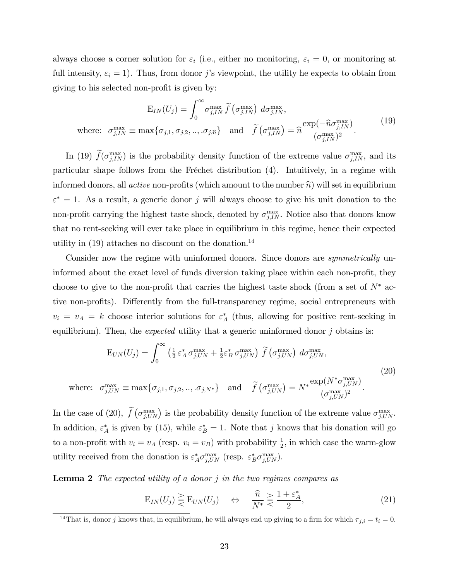always choose a corner solution for  $\varepsilon_i$  (i.e., either no monitoring,  $\varepsilon_i = 0$ , or monitoring at full intensity,  $\varepsilon_i = 1$ ). Thus, from donor j's viewpoint, the utility he expects to obtain from giving to his selected non-profit is given by:

$$
E_{IN}(U_j) = \int_0^\infty \sigma_{j,IN}^{\max} \tilde{f}(\sigma_{j,IN}^{\max}) d\sigma_{j,IN}^{\max},
$$
  
where:  $\sigma_{j,IN}^{\max} \equiv \max\{\sigma_{j,1}, \sigma_{j,2}, ..., \sigma_{j,\widehat{n}}\}$  and  $\tilde{f}(\sigma_{j,IN}^{\max}) = \widehat{n}\frac{\exp(-\widehat{n}\sigma_{j,IN}^{\max})}{(\sigma_{j,IN}^{\max})^2}.$  (19)

In (19)  $\hat{f}(\sigma_{j,IN}^{\max})$  is the probability density function of the extreme value  $\sigma_{j,IN}^{\max}$ , and its particular shape follows from the Fréchet distribution (4). Intuitively, in a regime with informed donors, all *active* non-profits (which amount to the number  $\hat{n}$ ) will set in equilibrium  $\varepsilon^* = 1$ . As a result, a generic donor j will always choose to give his unit donation to the non-profit carrying the highest taste shock, denoted by  $\sigma_{j,IN}^{\max}$ . Notice also that donors know that no rent-seeking will ever take place in equilibrium in this regime, hence their expected utility in  $(19)$  attaches no discount on the donation.<sup>14</sup>

Consider now the regime with uninformed donors. Since donors are *symmetrically* uninformed about the exact level of funds diversion taking place within each non-profit, they choose to give to the non-profit that carries the highest taste shock (from a set of  $N^*$  active non-profits). Differently from the full-transparency regime, social entrepreneurs with  $v_i = v_A = k$  choose interior solutions for  $\varepsilon_A^*$  (thus, allowing for positive rent-seeking in equilibrium). Then, the *expected* utility that a generic uninformed donor  $j$  obtains is:

$$
E_{UN}(U_j) = \int_0^\infty \left(\frac{1}{2} \varepsilon_A^* \sigma_{j,UN}^{\max} + \frac{1}{2} \varepsilon_B^* \sigma_{j,UN}^{\max}\right) \tilde{f}\left(\sigma_{j,UN}^{\max}\right) d\sigma_{j,UN}^{\max},
$$
\nwhere:  $\sigma_{j,UN}^{\max} \equiv \max\{\sigma_{j,1}, \sigma_{j,2}, ..., \sigma_{j,N^*}\}\$  and  $\tilde{f}\left(\sigma_{j,UN}^{\max}\right) = N^* \frac{\exp(N^* \sigma_{j,UN}^{\max})}{(\sigma_{j,UN}^{\max})^2}.$  (20)

In the case of (20),  $\tilde{f}(\sigma_{j,UN}^{\max})$  is the probability density function of the extreme value  $\sigma_{j,UN}^{\max}$ . In addition,  $\varepsilon_A^*$  is given by (15), while  $\varepsilon_B^* = 1$ . Note that j knows that his donation will go to a non-profit with  $v_i = v_A$  (resp.  $v_i = v_B$ ) with probability  $\frac{1}{2}$ , in which case the warm-glow utility received from the donation is  $\varepsilon_A^* \sigma_{j,UN}^{\max}$  (resp.  $\varepsilon_B^* \sigma_{j,UN}^{\max}$ ).

**Lemma 2** The expected utility of a donor  $j$  in the two regimes compares as

$$
E_{IN}(U_j) \geq E_{UN}(U_j) \quad \Leftrightarrow \quad \frac{\widehat{n}}{N^*} \geq \frac{1 + \varepsilon_A^*}{2},\tag{21}
$$

<sup>&</sup>lt;sup>14</sup>That is, donor j knows that, in equilibrium, he will always end up giving to a firm for which  $\tau_{j,i} = t_i = 0$ .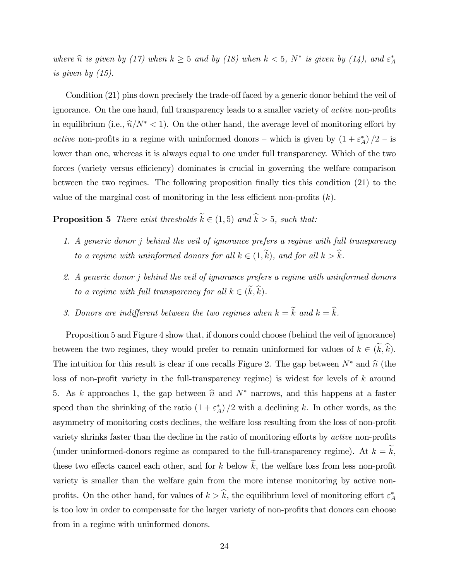where  $\hat{n}$  is given by (17) when  $k \ge 5$  and by (18) when  $k < 5$ ,  $N^*$  is given by (14), and  $\varepsilon_A^*$ is given by (15).

Condition (21) pins down precisely the trade-off faced by a generic donor behind the veil of ignorance. On the one hand, full transparency leads to a smaller variety of *active* non-profits in equilibrium (i.e.,  $\hat{n}/N^*$  < 1). On the other hand, the average level of monitoring effort by active non-profits in a regime with uninformed donors – which is given by  $(1 + \varepsilon_A^*)/2$  – is lower than one, whereas it is always equal to one under full transparency. Which of the two forces (variety versus efficiency) dominates is crucial in governing the welfare comparison between the two regimes. The following proposition finally ties this condition (21) to the value of the marginal cost of monitoring in the less efficient non-profits  $(k)$ .

**Proposition 5** There exist thresholds  $\widetilde{k} \in (1, 5)$  and  $\widehat{k} > 5$ , such that:

- 1. A generic donor j behind the veil of ignorance prefers a regime with full transparency to a regime with uninformed donors for all  $k \in (1, \tilde{k})$ , and for all  $k > \hat{k}$ .
- 2. A generic donor j behind the veil of ignorance prefers a regime with uninformed donors to a regime with full transparency for all  $k \in (\widetilde{k}, \widehat{k})$ .
- 3. Donors are indifferent between the two regimes when  $k = \widetilde{k}$  and  $k = \widehat{k}$ .

Proposition 5 and Figure 4 show that, if donors could choose (behind the veil of ignorance) between the two regimes, they would prefer to remain uninformed for values of  $k \in (\tilde{k}, \tilde{k})$ . The intuition for this result is clear if one recalls Figure 2. The gap between  $N^*$  and  $\hat{n}$  (the loss of non-profit variety in the full-transparency regime) is widest for levels of  $k$  around 5. As k approaches 1, the gap between  $\hat{n}$  and  $N^*$  narrows, and this happens at a faster speed than the shrinking of the ratio  $(1 + \varepsilon_A^*)/2$  with a declining k. In other words, as the asymmetry of monitoring costs declines, the welfare loss resulting from the loss of non-profit variety shrinks faster than the decline in the ratio of monitoring efforts by *active* non-profits (under uninformed-donors regime as compared to the full-transparency regime). At  $k = \tilde{k}$ , these two effects cancel each other, and for k below  $\widetilde{k}$ , the welfare loss from less non-profit variety is smaller than the welfare gain from the more intense monitoring by active nonprofits. On the other hand, for values of  $k > k$ , the equilibrium level of monitoring effort  $\varepsilon_A^*$ is too low in order to compensate for the larger variety of non-profits that donors can choose from in a regime with uninformed donors.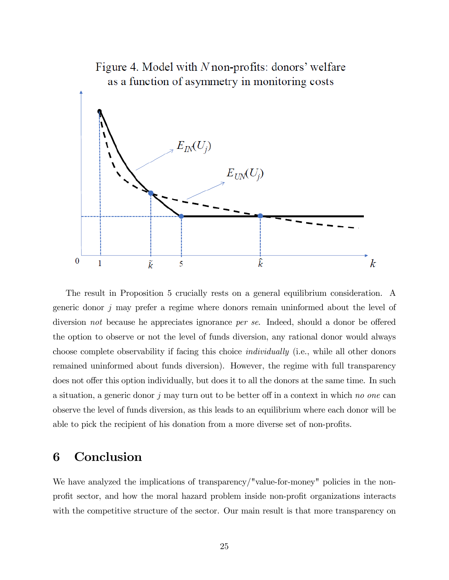

The result in Proposition 5 crucially rests on a general equilibrium consideration. A generic donor j may prefer a regime where donors remain uninformed about the level of diversion not because he appreciates ignorance per se. Indeed, should a donor be offered the option to observe or not the level of funds diversion, any rational donor would always choose complete observability if facing this choice individually (i.e., while all other donors remained uninformed about funds diversion). However, the regime with full transparency does not offer this option individually, but does it to all the donors at the same time. In such a situation, a generic donor j may turn out to be better off in a context in which no one can observe the level of funds diversion, as this leads to an equilibrium where each donor will be able to pick the recipient of his donation from a more diverse set of non-profits.

# 6 Conclusion

We have analyzed the implications of transparency/"value-for-money" policies in the nonprofit sector, and how the moral hazard problem inside non-profit organizations interacts with the competitive structure of the sector. Our main result is that more transparency on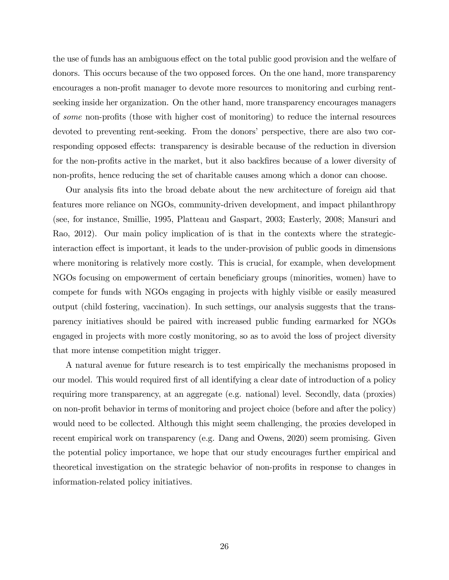the use of funds has an ambiguous effect on the total public good provision and the welfare of donors. This occurs because of the two opposed forces. On the one hand, more transparency encourages a non-profit manager to devote more resources to monitoring and curbing rentseeking inside her organization. On the other hand, more transparency encourages managers of some non-profits (those with higher cost of monitoring) to reduce the internal resources devoted to preventing rent-seeking. From the donors' perspective, there are also two corresponding opposed effects: transparency is desirable because of the reduction in diversion for the non-profits active in the market, but it also backfires because of a lower diversity of non-profits, hence reducing the set of charitable causes among which a donor can choose.

Our analysis Öts into the broad debate about the new architecture of foreign aid that features more reliance on NGOs, community-driven development, and impact philanthropy (see, for instance, Smillie, 1995, Platteau and Gaspart, 2003; Easterly, 2008; Mansuri and Rao, 2012). Our main policy implication of is that in the contexts where the strategicinteraction effect is important, it leads to the under-provision of public goods in dimensions where monitoring is relatively more costly. This is crucial, for example, when development NGOs focusing on empowerment of certain beneficiary groups (minorities, women) have to compete for funds with NGOs engaging in projects with highly visible or easily measured output (child fostering, vaccination). In such settings, our analysis suggests that the transparency initiatives should be paired with increased public funding earmarked for NGOs engaged in projects with more costly monitoring, so as to avoid the loss of project diversity that more intense competition might trigger.

A natural avenue for future research is to test empirically the mechanisms proposed in our model. This would required first of all identifying a clear date of introduction of a policy requiring more transparency, at an aggregate (e.g. national) level. Secondly, data (proxies) on non-profit behavior in terms of monitoring and project choice (before and after the policy) would need to be collected. Although this might seem challenging, the proxies developed in recent empirical work on transparency (e.g. Dang and Owens, 2020) seem promising. Given the potential policy importance, we hope that our study encourages further empirical and theoretical investigation on the strategic behavior of non-profits in response to changes in information-related policy initiatives.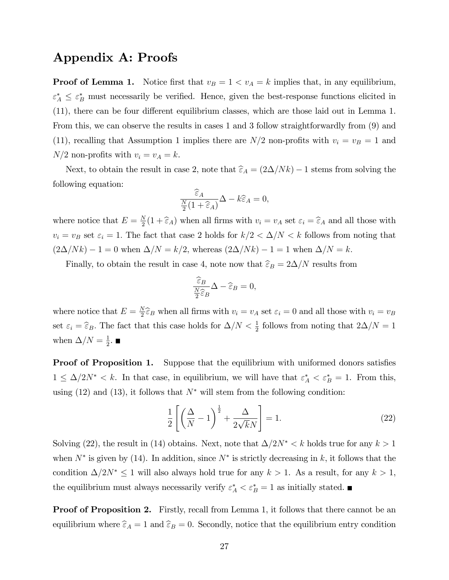### Appendix A: Proofs

**Proof of Lemma 1.** Notice first that  $v_B = 1 < v_A = k$  implies that, in any equilibrium,  $\varepsilon_A^* \leq \varepsilon_B^*$  must necessarily be verified. Hence, given the best-response functions elicited in  $(11)$ , there can be four different equilibrium classes, which are those laid out in Lemma 1. From this, we can observe the results in cases 1 and 3 follow straightforwardly from (9) and (11), recalling that Assumption 1 implies there are  $N/2$  non-profits with  $v_i = v_B = 1$  and  $N/2$  non-profits with  $v_i = v_A = k$ .

Next, to obtain the result in case 2, note that  $\widehat{\varepsilon}_A = (2\Delta/Nk) - 1$  stems from solving the following equation:

$$
\frac{\widehat{\varepsilon}_A}{\frac{N}{2}(1+\widehat{\varepsilon}_A)}\Delta - k\widehat{\varepsilon}_A = 0,
$$

where notice that  $E = \frac{N}{2}$  $\frac{N}{2}(1+\widehat{\epsilon}_A)$  when all firms with  $v_i = v_A$  set  $\epsilon_i = \widehat{\epsilon}_A$  and all those with  $v_i = v_B$  set  $\varepsilon_i = 1$ . The fact that case 2 holds for  $k/2 < \Delta/N < k$  follows from noting that  $(2\Delta/Nk) - 1 = 0$  when  $\Delta/N = k/2$ , whereas  $(2\Delta/Nk) - 1 = 1$  when  $\Delta/N = k$ .

Finally, to obtain the result in case 4, note now that  $\widehat{\varepsilon}_B = 2\Delta/N$  results from

$$
\frac{\widehat{\varepsilon}_B}{\frac{N}{2}\widehat{\varepsilon}_B}\Delta - \widehat{\varepsilon}_B = 0,
$$

where notice that  $E = \frac{N}{2}$  $\frac{N}{2}\widehat{\epsilon}_B$  when all firms with  $v_i = v_A$  set  $\epsilon_i = 0$  and all those with  $v_i = v_B$ set  $\varepsilon_i = \hat{\varepsilon}_B$ . The fact that this case holds for  $\Delta/N < \frac{1}{2}$  follows from noting that  $2\Delta/N = 1$ when  $\Delta/N = \frac{1}{2}$  $\frac{1}{2}$ .

**Proof of Proposition 1.** Suppose that the equilibrium with uniformed donors satisfies  $1 \leq \Delta/2N^* < k$ . In that case, in equilibrium, we will have that  $\varepsilon_A^* < \varepsilon_B^* = 1$ . From this, using (12) and (13), it follows that  $N^*$  will stem from the following condition:

$$
\frac{1}{2}\left[\left(\frac{\Delta}{N}-1\right)^{\frac{1}{2}}+\frac{\Delta}{2\sqrt{k}N}\right]=1.
$$
\n(22)

Solving (22), the result in (14) obtains. Next, note that  $\Delta/2N^* < k$  holds true for any  $k > 1$ when  $N^*$  is given by (14). In addition, since  $N^*$  is strictly decreasing in k, it follows that the condition  $\Delta/2N^* \leq 1$  will also always hold true for any  $k > 1$ . As a result, for any  $k > 1$ , the equilibrium must always necessarily verify  $\varepsilon_A^* < \varepsilon_B^* = 1$  as initially stated.

**Proof of Proposition 2.** Firstly, recall from Lemma 1, it follows that there cannot be an equilibrium where  $\hat{\epsilon}_A = 1$  and  $\hat{\epsilon}_B = 0$ . Secondly, notice that the equilibrium entry condition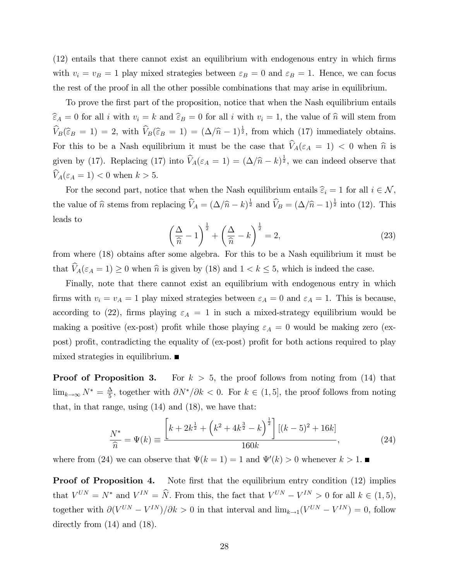$(12)$  entails that there cannot exist an equilibrium with endogenous entry in which firms with  $v_i = v_B = 1$  play mixed strategies between  $\varepsilon_B = 0$  and  $\varepsilon_B = 1$ . Hence, we can focus the rest of the proof in all the other possible combinations that may arise in equilibrium.

To prove the first part of the proposition, notice that when the Nash equilibrium entails  $\widehat{\epsilon}_A = 0$  for all i with  $v_i = k$  and  $\widehat{\epsilon}_B = 0$  for all i with  $v_i = 1$ , the value of  $\widehat{n}$  will stem from  $\widehat{V}_B(\widehat{\varepsilon}_B = 1) = 2$ , with  $\widehat{V}_B(\widehat{\varepsilon}_B = 1) = (\Delta/\widehat{n} - 1)^{\frac{1}{2}}$ , from which (17) immediately obtains. For this to be a Nash equilibrium it must be the case that  $\widehat{V}_A(\varepsilon_A = 1) < 0$  when  $\widehat{n}$  is given by (17). Replacing (17) into  $\widehat{V}_A(\varepsilon_A = 1) = (\Delta/\widehat{n} - k)^{\frac{1}{2}}$ , we can indeed observe that  $\widehat{V}_A(\varepsilon_A = 1) < 0$  when  $k > 5$ .

For the second part, notice that when the Nash equilibrium entails  $\hat{\epsilon}_i = 1$  for all  $i \in \mathcal{N}$ , the value of  $\hat{n}$  stems from replacing  $\hat{V}_A = (\Delta/\hat{n} - k)^{\frac{1}{2}}$  and  $\hat{V}_B = (\Delta/\hat{n} - 1)^{\frac{1}{2}}$  into (12). This leads to

$$
\left(\frac{\Delta}{\widehat{n}}-1\right)^{\frac{1}{2}}+\left(\frac{\Delta}{\widehat{n}}-k\right)^{\frac{1}{2}}=2,
$$
\n(23)

from where (18) obtains after some algebra. For this to be a Nash equilibrium it must be that  $\hat{V}_A(\varepsilon_A = 1) \geq 0$  when  $\hat{n}$  is given by (18) and  $1 < k \leq 5$ , which is indeed the case.

Finally, note that there cannot exist an equilibrium with endogenous entry in which firms with  $v_i = v_A = 1$  play mixed strategies between  $\varepsilon_A = 0$  and  $\varepsilon_A = 1$ . This is because, according to (22), firms playing  $\varepsilon_A = 1$  in such a mixed-strategy equilibrium would be making a positive (ex-post) profit while those playing  $\varepsilon_A = 0$  would be making zero (expost) profit, contradicting the equality of (ex-post) profit for both actions required to play mixed strategies in equilibrium.  $\blacksquare$ 

**Proof of Proposition 3.** For  $k > 5$ , the proof follows from noting from (14) that  $\lim_{k\to\infty} N^* = \frac{\Delta}{5}$  $\frac{\Delta}{5}$ , together with  $\partial N^*/\partial k < 0$ . For  $k \in (1, 5]$ , the proof follows from noting that, in that range, using (14) and (18), we have that:

$$
\frac{N^*}{\hat{n}} = \Psi(k) \equiv \frac{\left[k + 2k^{\frac{1}{2}} + \left(k^2 + 4k^{\frac{3}{2}} - k\right)^{\frac{1}{2}}\right] \left[(k - 5)^2 + 16k\right]}{160k},\tag{24}
$$

where from (24) we can observe that  $\Psi(k = 1) = 1$  and  $\Psi'(k) > 0$  whenever  $k > 1$ .

**Proof of Proposition 4.** Note first that the equilibrium entry condition (12) implies that  $V^{UN} = N^*$  and  $V^{IN} = \hat{N}$ . From this, the fact that  $V^{UN} - V^{IN} > 0$  for all  $k \in (1, 5)$ , together with  $\partial (V^{UN} - V^{IN})/\partial k > 0$  in that interval and  $\lim_{k \to 1} (V^{UN} - V^{IN}) = 0$ , follow directly from (14) and (18).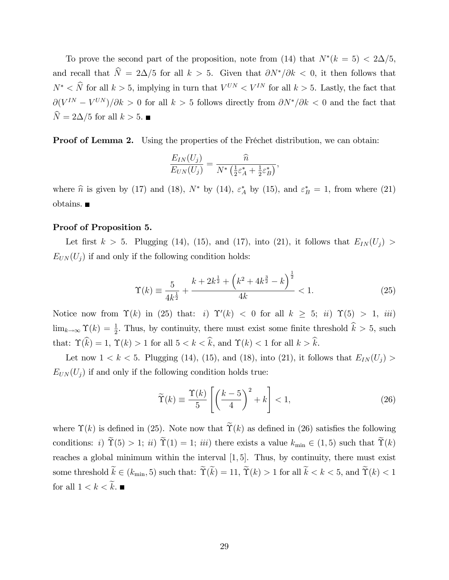To prove the second part of the proposition, note from (14) that  $N^*(k=5) < 2\Delta/5$ , and recall that  $\hat{N} = 2\Delta/5$  for all  $k > 5$ . Given that  $\partial N^*/\partial k < 0$ , it then follows that  $N^* < \hat{N}$  for all  $k > 5$ , implying in turn that  $V^{UN} < V^{IN}$  for all  $k > 5$ . Lastly, the fact that  $\partial (V^{IN} - V^{UN})/\partial k > 0$  for all  $k > 5$  follows directly from  $\partial N^{*}/\partial k < 0$  and the fact that  $\widehat{N} = 2\Delta/5$  for all  $k > 5$ .

**Proof of Lemma 2.** Using the properties of the Fréchet distribution, we can obtain:

$$
\frac{E_{IN}(U_j)}{E_{UN}(U_j)} = \frac{\widehat{n}}{N^* \left(\frac{1}{2} \varepsilon_A^* + \frac{1}{2} \varepsilon_B^* \right)},
$$

where  $\hat{n}$  is given by (17) and (18),  $N^*$  by (14),  $\varepsilon_A^*$  by (15), and  $\varepsilon_B^* = 1$ , from where (21) obtains.

#### Proof of Proposition 5.

Let first  $k > 5$ . Plugging (14), (15), and (17), into (21), it follows that  $E_{IN}(U_j) >$  $E_{UN}(U_j)$  if and only if the following condition holds:

$$
\Upsilon(k) \equiv \frac{5}{4k^{\frac{1}{2}}} + \frac{k + 2k^{\frac{1}{2}} + \left(k^2 + 4k^{\frac{3}{2}} - k\right)^{\frac{1}{2}}}{4k} < 1. \tag{25}
$$

Notice now from  $\Upsilon(k)$  in (25) that: i)  $\Upsilon'(k) < 0$  for all  $k \geq 5$ ; ii)  $\Upsilon(5) > 1$ , iii)  $\lim_{k\to\infty} \Upsilon(k) = \frac{1}{2}$ . Thus, by continuity, there must exist some finite threshold  $\hat{k} > 5$ , such that:  $\Upsilon(\widehat{k}) = 1$ ,  $\Upsilon(k) > 1$  for all  $5 < k < \widehat{k}$ , and  $\Upsilon(k) < 1$  for all  $k > \widehat{k}$ .

Let now  $1 < k < 5$ . Plugging (14), (15), and (18), into (21), it follows that  $E_{IN}(U_j) >$  $E_{UN}(U_i)$  if and only if the following condition holds true:

$$
\widetilde{\Upsilon}(k) \equiv \frac{\Upsilon(k)}{5} \left[ \left( \frac{k-5}{4} \right)^2 + k \right] < 1,\tag{26}
$$

where  $\Upsilon(k)$  is defined in (25). Note now that  $\widetilde{\Upsilon}(k)$  as defined in (26) satisfies the following conditions: i)  $\widetilde{\Upsilon}(5) > 1$ ; ii)  $\widetilde{\Upsilon}(1) = 1$ ; iii) there exists a value  $k_{\min} \in (1, 5)$  such that  $\widetilde{\Upsilon}(k)$ reaches a global minimum within the interval  $[1, 5]$ . Thus, by continuity, there must exist some threshold  $\widetilde{k} \in (k_{\min}, 5)$  such that:  $\widetilde{\Upsilon}(\widetilde{k}) = 11$ ,  $\widetilde{\Upsilon}(k) > 1$  for all  $\widetilde{k} < k < 5$ , and  $\widetilde{\Upsilon}(k) < 1$ for all  $1 < k < \widetilde{k}$ .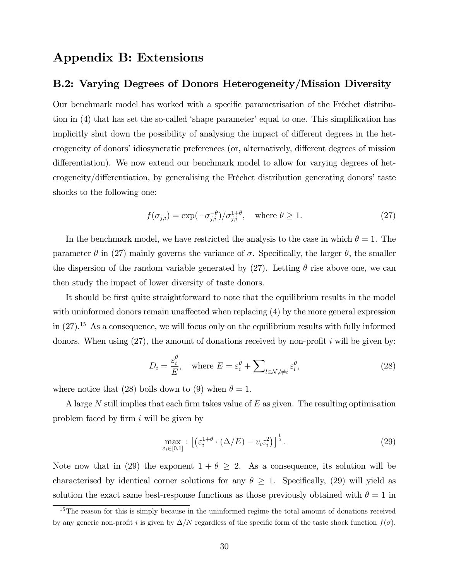## Appendix B: Extensions

### B.2: Varying Degrees of Donors Heterogeneity/Mission Diversity

Our benchmark model has worked with a specific parametrisation of the Fréchet distribution in  $(4)$  that has set the so-called 'shape parameter' equal to one. This simplification has implicitly shut down the possibility of analysing the impact of different degrees in the heterogeneity of donors' idiosyncratic preferences (or, alternatively, different degrees of mission differentiation). We now extend our benchmark model to allow for varying degrees of heterogeneity/differentiation, by generalising the Fréchet distribution generating donors' taste shocks to the following one:

$$
f(\sigma_{j,i}) = \exp(-\sigma_{j,i}^{-\theta})/\sigma_{j,i}^{1+\theta}, \quad \text{where } \theta \ge 1.
$$
 (27)

In the benchmark model, we have restricted the analysis to the case in which  $\theta = 1$ . The parameter  $\theta$  in (27) mainly governs the variance of  $\sigma$ . Specifically, the larger  $\theta$ , the smaller the dispersion of the random variable generated by  $(27)$ . Letting  $\theta$  rise above one, we can then study the impact of lower diversity of taste donors.

It should be first quite straightforward to note that the equilibrium results in the model with uninformed donors remain unaffected when replacing  $(4)$  by the more general expression in  $(27).$ <sup>15</sup> As a consequence, we will focus only on the equilibrium results with fully informed donors. When using  $(27)$ , the amount of donations received by non-profit i will be given by:

$$
D_i = \frac{\varepsilon_i^{\theta}}{E}, \quad \text{where } E = \varepsilon_i^{\theta} + \sum_{l \in \mathcal{N}, l \neq i} \varepsilon_l^{\theta}, \tag{28}
$$

where notice that (28) boils down to (9) when  $\theta = 1$ .

A large N still implies that each firm takes value of  $E$  as given. The resulting optimisation problem faced by firm  $i$  will be given by

$$
\max_{\varepsilon_i \in [0,1]} : \left[ \left( \varepsilon_i^{1+\theta} \cdot (\Delta/E) - v_i \varepsilon_i^2 \right) \right]^{\frac{1}{2}}.
$$
\n(29)

Note now that in (29) the exponent  $1 + \theta \geq 2$ . As a consequence, its solution will be characterised by identical corner solutions for any  $\theta \geq 1$ . Specifically, (29) will yield as solution the exact same best-response functions as those previously obtained with  $\theta = 1$  in

<sup>&</sup>lt;sup>15</sup>The reason for this is simply because in the uninformed regime the total amount of donations received by any generic non-profit i is given by  $\Delta/N$  regardless of the specific form of the taste shock function  $f(\sigma)$ .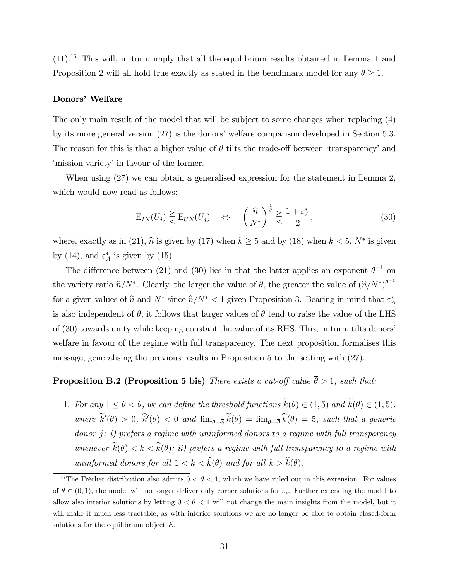$(11).$ <sup>16</sup> This will, in turn, imply that all the equilibrium results obtained in Lemma 1 and Proposition 2 will all hold true exactly as stated in the benchmark model for any  $\theta \geq 1$ .

#### Donors' Welfare

The only main result of the model that will be subject to some changes when replacing (4) by its more general version  $(27)$  is the donors' welfare comparison developed in Section 5.3. The reason for this is that a higher value of  $\theta$  tilts the trade-off between 'transparency' and 'mission variety' in favour of the former.

When using (27) we can obtain a generalised expression for the statement in Lemma 2, which would now read as follows:

$$
\mathcal{E}_{IN}(U_j) \geq \mathcal{E}_{UN}(U_j) \quad \Leftrightarrow \quad \left(\frac{\widehat{n}}{N^*}\right)^{\frac{1}{\theta}} \geq \frac{1+\varepsilon_A^*}{2},\tag{30}
$$

where, exactly as in (21),  $\hat{n}$  is given by (17) when  $k \ge 5$  and by (18) when  $k < 5$ ,  $N^*$  is given by (14), and  $\varepsilon_A^*$  is given by (15).

The difference between (21) and (30) lies in that the latter applies an exponent  $\theta^{-1}$  on the variety ratio  $\hat{n}/N^*$ . Clearly, the larger the value of  $\theta$ , the greater the value of  $(\hat{n}/N^*)^{\theta^{-1}}$ for a given values of  $\hat{n}$  and  $N^*$  since  $\hat{n}/N^* < 1$  given Proposition 3. Bearing in mind that  $\varepsilon_A^*$ is also independent of  $\theta$ , it follows that larger values of  $\theta$  tend to raise the value of the LHS of (30) towards unity while keeping constant the value of its RHS. This, in turn, tilts donorsí welfare in favour of the regime with full transparency. The next proposition formalises this message, generalising the previous results in Proposition 5 to the setting with (27).

# **Proposition B.2 (Proposition 5 bis)** There exists a cut-off value  $\bar{\theta} > 1$ , such that:

1. For any  $1 \leq \theta < \overline{\theta}$ , we can define the threshold functions  $\widetilde{k}(\theta) \in (1,5)$  and  $\widetilde{k}(\theta) \in (1,5)$ , where  $k'(\theta) > 0$ ,  $k'(\theta) < 0$  and  $\lim_{\theta \to \overline{\theta}} k(\theta) = \lim_{\theta \to \overline{\theta}} k(\theta) = 5$ , such that a generic  $donor$   $j: i)$  prefers a regime with uninformed donors to a regime with full transparency whenever  $\widetilde{k}(\theta) < k < \widehat{k}(\theta)$ ; ii) prefers a regime with full transparency to a regime with uninformed donors for all  $1 < k < \widetilde{k}(\theta)$  and for all  $k > \widehat{k}(\theta)$ .

<sup>&</sup>lt;sup>16</sup>The Fréchet distribution also admits  $0 < \theta < 1$ , which we have ruled out in this extension. For values of  $\theta \in (0, 1)$ , the model will no longer deliver only corner solutions for  $\varepsilon_i$ . Further extending the model to allow also interior solutions by letting  $0 < \theta < 1$  will not change the main insights from the model, but it will make it much less tractable, as with interior solutions we are no longer be able to obtain closed-form solutions for the equilibrium object  $E$ .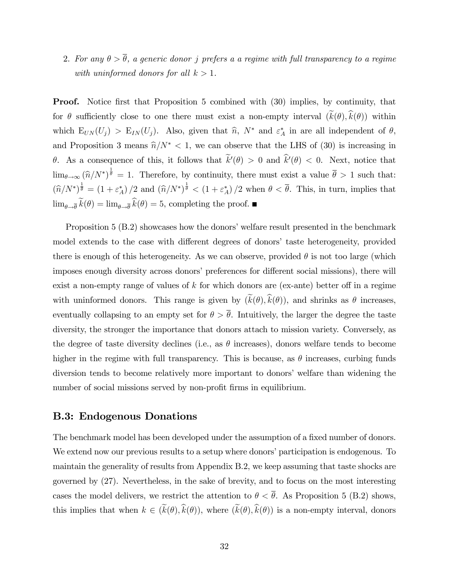2. For any  $\theta > \overline{\theta}$ , a generic donor j prefers a a regime with full transparency to a regime with uninformed donors for all  $k > 1$ .

Proof. Notice first that Proposition 5 combined with (30) implies, by continuity, that for  $\theta$  sufficiently close to one there must exist a non-empty interval  $(\widetilde{k}(\theta), \widehat{k}(\theta))$  within which  $E_{UN}(U_j) > E_{IN}(U_j)$ . Also, given that  $\hat{n}$ ,  $N^*$  and  $\varepsilon_A^*$  in are all independent of  $\theta$ , and Proposition 3 means  $\hat{n}/N^* < 1$ , we can observe that the LHS of (30) is increasing in  $\theta$ . As a consequence of this, it follows that  $k'(\theta) > 0$  and  $k'(\theta) < 0$ . Next, notice that  $\lim_{\theta \to \infty} (\widehat{n}/N^*)^{\frac{1}{\theta}} = 1$ . Therefore, by continuity, there must exist a value  $\overline{\theta} > 1$  such that:  $(\widehat{n}/N^*)^{\frac{1}{\theta}} = (1 + \varepsilon_A^*)/2$  and  $(\widehat{n}/N^*)^{\frac{1}{\theta}} < (1 + \varepsilon_A^*)/2$  when  $\theta < \overline{\theta}$ . This, in turn, implies that  $\lim_{\theta \to \overline{\theta}} k(\theta) = \lim_{\theta \to \overline{\theta}} k(\theta) = 5$ , completing the proof.

Proposition  $5$  (B.2) showcases how the donors' welfare result presented in the benchmark model extends to the case with different degrees of donors' taste heterogeneity, provided there is enough of this heterogeneity. As we can observe, provided  $\theta$  is not too large (which imposes enough diversity across donors' preferences for different social missions), there will exist a non-empty range of values of  $k$  for which donors are (ex-ante) better off in a regime with uninformed donors. This range is given by  $(\widetilde{k}(\theta), \widehat{k}(\theta))$ , and shrinks as  $\theta$  increases, eventually collapsing to an empty set for  $\theta > \overline{\theta}$ . Intuitively, the larger the degree the taste diversity, the stronger the importance that donors attach to mission variety. Conversely, as the degree of taste diversity declines (i.e., as  $\theta$  increases), donors welfare tends to become higher in the regime with full transparency. This is because, as  $\theta$  increases, curbing funds diversion tends to become relatively more important to donors' welfare than widening the number of social missions served by non-profit firms in equilibrium.

### B.3: Endogenous Donations

The benchmark model has been developed under the assumption of a fixed number of donors. We extend now our previous results to a setup where donors' participation is endogenous. To maintain the generality of results from Appendix B.2, we keep assuming that taste shocks are governed by (27). Nevertheless, in the sake of brevity, and to focus on the most interesting cases the model delivers, we restrict the attention to  $\theta < \overline{\theta}$ . As Proposition 5 (B.2) shows, this implies that when  $k \in (\tilde{k}(\theta), \hat{k}(\theta))$ , where  $(\tilde{k}(\theta), \hat{k}(\theta))$  is a non-empty interval, donors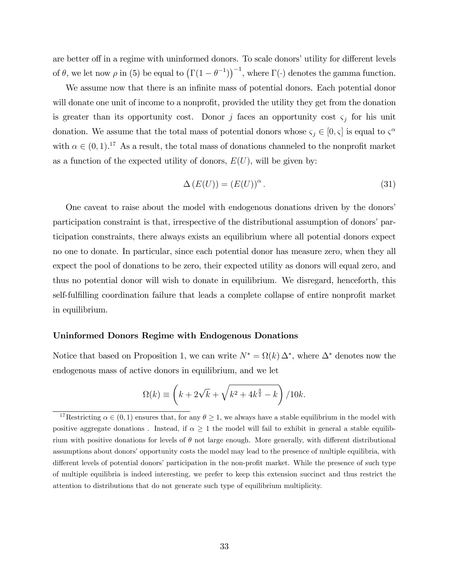are better off in a regime with uninformed donors. To scale donors' utility for different levels of  $\theta$ , we let now  $\rho$  in (5) be equal to  $(\Gamma(1 - \theta^{-1}))^{-1}$ , where  $\Gamma(\cdot)$  denotes the gamma function.

We assume now that there is an infinite mass of potential donors. Each potential donor will donate one unit of income to a nonprofit, provided the utility they get from the donation is greater than its opportunity cost. Donor j faces an opportunity cost  $\varsigma_j$  for his unit donation. We assume that the total mass of potential donors whose  $\zeta_j \in [0, \zeta]$  is equal to  $\zeta^{\alpha}$ with  $\alpha \in (0, 1)$ .<sup>17</sup> As a result, the total mass of donations channeled to the nonprofit market as a function of the expected utility of donors,  $E(U)$ , will be given by:

$$
\Delta\left(E(U)\right) = \left(E(U)\right)^{\alpha}.\tag{31}
$$

One caveat to raise about the model with endogenous donations driven by the donorsí participation constraint is that, irrespective of the distributional assumption of donors' participation constraints, there always exists an equilibrium where all potential donors expect no one to donate. In particular, since each potential donor has measure zero, when they all expect the pool of donations to be zero, their expected utility as donors will equal zero, and thus no potential donor will wish to donate in equilibrium. We disregard, henceforth, this self-fulfilling coordination failure that leads a complete collapse of entire nonprofit market in equilibrium.

#### Uninformed Donors Regime with Endogenous Donations

Notice that based on Proposition 1, we can write  $N^* = \Omega(k) \Delta^*$ , where  $\Delta^*$  denotes now the endogenous mass of active donors in equilibrium, and we let

$$
\Omega(k) \equiv \left(k + 2\sqrt{k} + \sqrt{k^2 + 4k^{\frac{3}{2}} - k}\right) / 10k.
$$

<sup>&</sup>lt;sup>17</sup>Restricting  $\alpha \in (0,1)$  ensures that, for any  $\theta \ge 1$ , we always have a stable equilibrium in the model with positive aggregate donations. Instead, if  $\alpha \geq 1$  the model will fail to exhibit in general a stable equilibrium with positive donations for levels of  $\theta$  not large enough. More generally, with different distributional assumptions about donors' opportunity costs the model may lead to the presence of multiple equilibria, with different levels of potential donors' participation in the non-profit market. While the presence of such type of multiple equilibria is indeed interesting, we prefer to keep this extension succinct and thus restrict the attention to distributions that do not generate such type of equilibrium multiplicity.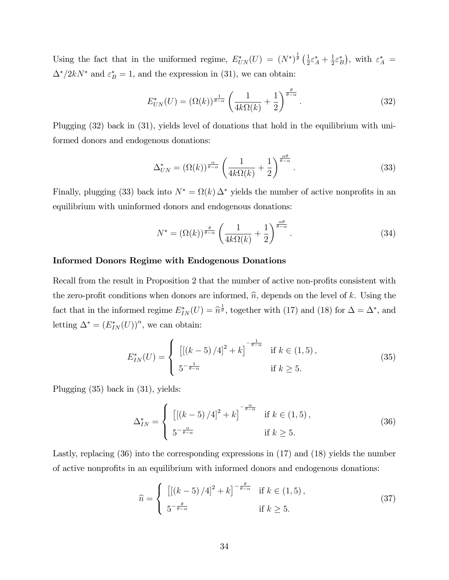Using the fact that in the uniformed regime,  $E^*_{UN}(U) = (N^*)^{\frac{1}{\theta}} \left(\frac{1}{2}\right)$  $\frac{1}{2}\varepsilon_A^* + \frac{1}{2}$  $(\frac{1}{2}\varepsilon_B^*)$ , with  $\varepsilon_A^* =$  $\Delta^*/2kN^*$  and  $\varepsilon_B^* = 1$ , and the expression in (31), we can obtain:

$$
E_{UN}^*(U) = (\Omega(k))^{\frac{1}{\theta - \alpha}} \left( \frac{1}{4k\Omega(k)} + \frac{1}{2} \right)^{\frac{\theta}{\theta - \alpha}}.
$$
 (32)

Plugging (32) back in (31), yields level of donations that hold in the equilibrium with uniformed donors and endogenous donations:

$$
\Delta_{UN}^* = (\Omega(k))^{\frac{\alpha}{\theta - \alpha}} \left( \frac{1}{4k\Omega(k)} + \frac{1}{2} \right)^{\frac{\alpha\theta}{\theta - \alpha}}.
$$
\n(33)

Finally, plugging (33) back into  $N^* = \Omega(k) \Delta^*$  yields the number of active nonprofits in an equilibrium with uninformed donors and endogenous donations:

$$
N^* = (\Omega(k))^{\frac{\theta}{\theta - \alpha}} \left( \frac{1}{4k\Omega(k)} + \frac{1}{2} \right)^{\frac{\alpha\theta}{\theta - \alpha}}.
$$
 (34)

#### Informed Donors Regime with Endogenous Donations

Recall from the result in Proposition 2 that the number of active non-profits consistent with the zero-profit conditions when donors are informed,  $\hat{n}$ , depends on the level of k. Using the fact that in the informed regime  $E_{IN}^*(U) = \hat{n}^{\frac{1}{\theta}}$ , together with (17) and (18) for  $\Delta = \Delta^*$ , and letting  $\Delta^* = (E_{IN}^*(U))^{\alpha}$ , we can obtain:

$$
E_{IN}^*(U) = \begin{cases} \left[ \left[ \left( k - 5 \right) / 4 \right]^2 + k \right]^{-\frac{1}{\theta - \alpha}} & \text{if } k \in (1, 5), \\ 5^{-\frac{1}{\theta - \alpha}} & \text{if } k \ge 5. \end{cases}
$$
 (35)

Plugging (35) back in (31), yields:

$$
\Delta_{IN}^* = \begin{cases} \left[ \left[ \left( k - 5 \right) / 4 \right]^2 + k \right]^{-\frac{\alpha}{\theta - \alpha}} & \text{if } k \in (1, 5), \\ 5^{-\frac{\alpha}{\theta - \alpha}} & \text{if } k \ge 5. \end{cases} \tag{36}
$$

Lastly, replacing (36) into the corresponding expressions in (17) and (18) yields the number of active nonprofits in an equilibrium with informed donors and endogenous donations:

$$
\widehat{n} = \begin{cases} \left[ \left[ \left( k - 5 \right) / 4 \right]^2 + k \right]^{-\frac{\theta}{\theta - \alpha}} & \text{if } k \in (1, 5), \\ 5^{-\frac{\theta}{\theta - \alpha}} & \text{if } k \ge 5. \end{cases} \tag{37}
$$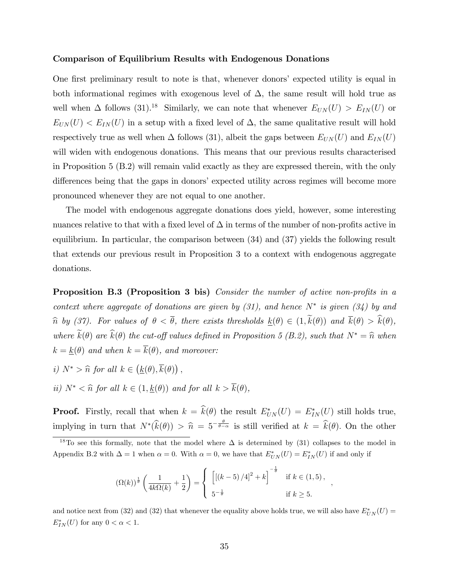#### Comparison of Equilibrium Results with Endogenous Donations

One first preliminary result to note is that, whenever donors' expected utility is equal in both informational regimes with exogenous level of  $\Delta$ , the same result will hold true as well when  $\Delta$  follows (31).<sup>18</sup> Similarly, we can note that whenever  $E_{UN}(U) > E_{IN}(U)$  or  $E_{UN}(U) < E_{IN}(U)$  in a setup with a fixed level of  $\Delta$ , the same qualitative result will hold respectively true as well when  $\Delta$  follows (31), albeit the gaps between  $E_{UN}(U)$  and  $E_{IN}(U)$ will widen with endogenous donations. This means that our previous results characterised in Proposition 5 (B.2) will remain valid exactly as they are expressed therein, with the only differences being that the gaps in donors' expected utility across regimes will become more pronounced whenever they are not equal to one another.

The model with endogenous aggregate donations does yield, however, some interesting nuances relative to that with a fixed level of  $\Delta$  in terms of the number of non-profits active in equilibrium. In particular, the comparison between (34) and (37) yields the following result that extends our previous result in Proposition 3 to a context with endogenous aggregate donations.

**Proposition B.3 (Proposition 3 bis)** Consider the number of active non-profits in a context where aggregate of donations are given by  $(31)$ , and hence  $N^*$  is given  $(34)$  by and  $\hat{n}$  by (37). For values of  $\theta < \overline{\theta}$ , there exists thresholds  $\underline{k}(\theta) \in (1, \tilde{k}(\theta))$  and  $\overline{k}(\theta) > \hat{k}(\theta)$ , where  $\widetilde{k}(\theta)$  are  $\widehat{k}(\theta)$  the cut-off values defined in Proposition 5 (B.2), such that  $N^* = \widehat{n}$  when  $k = \underline{k}(\theta)$  and when  $k = \overline{k}(\theta)$ , and moreover:

- *i*)  $N^* > \hat{n}$  for all  $k \in (\underline{k}(\theta), \overline{k}(\theta))$ ,
- ii)  $N^* < \hat{n}$  for all  $k \in (1, \underline{k}(\theta))$  and for all  $k > \overline{k}(\theta)$ ,

**Proof.** Firstly, recall that when  $k = k(\theta)$  the result  $E^*_{UN}(U) = E^*_{IN}(U)$  still holds true, implying in turn that  $N^*(\widehat{k}(\theta)) > \widehat{n} = 5^{-\frac{\theta}{\theta-\alpha}}$  is still verified at  $k = \widehat{k}(\theta)$ . On the other

<sup>18</sup>To see this formally, note that the model where  $\Delta$  is determined by (31) collapses to the model in Appendix B.2 with  $\Delta = 1$  when  $\alpha = 0$ . With  $\alpha = 0$ , we have that  $E^*_{UN}(U) = E^*_{IN}(U)$  if and only if

$$
(\Omega(k))^{\frac{1}{\theta}} \left( \frac{1}{4k\Omega(k)} + \frac{1}{2} \right) = \begin{cases} \left[ \left( (k-5)/4 \right)^2 + k \right]^{-\frac{1}{\theta}} & \text{if } k \in (1,5), \\ 5^{-\frac{1}{\theta}} & \text{if } k \ge 5. \end{cases}
$$

;

and notice next from (32) and (32) that whenever the equality above holds true, we will also have  $E^*_{UN}(U)$  =  $E_{IN}^*(U)$  for any  $0 < \alpha < 1$ .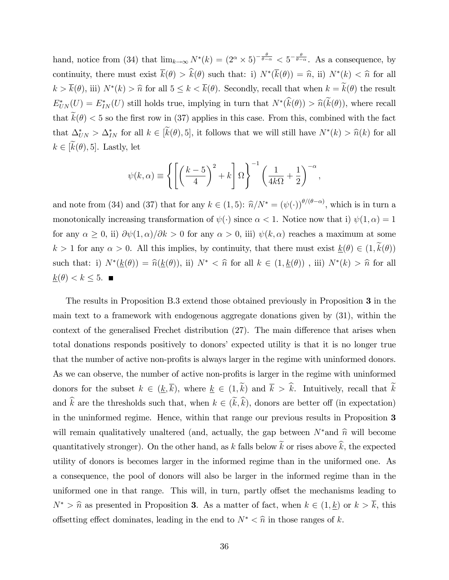hand, notice from (34) that  $\lim_{k\to\infty} N^*(k) = (2^{\alpha} \times 5)^{-\frac{\theta}{\theta-\alpha}} < 5^{-\frac{\theta}{\theta-\alpha}}$ . As a consequence, by continuity, there must exist  $k(\theta) > k(\theta)$  such that: i)  $N^*(k(\theta)) = \hat{n}$ , ii)  $N^*(k) < \hat{n}$  for all  $k > k(\theta)$ , iii)  $N^*(k) > \hat{n}$  for all  $5 \leq k < k(\theta)$ . Secondly, recall that when  $k = k(\theta)$  the result  $E_{UN}^*(U) = E_{IN}^*(U)$  still holds true, implying in turn that  $N^*(k(\theta)) > \hat{n}(k(\theta))$ , where recall that  $\widetilde{k}(\theta) < 5$  so the first row in (37) applies in this case. From this, combined with the fact that  $\Delta_{UN}^* > \Delta_{IN}^*$  for all  $k \in [k(\theta), 5]$ , it follows that we will still have  $N^*(k) > \hat{n}(k)$  for all  $k \in [\widetilde{k}(\theta), 5]$ . Lastly, let

$$
\psi(k,\alpha) \equiv \left\{ \left[ \left( \frac{k-5}{4} \right)^2 + k \right] \Omega \right\}^{-1} \left( \frac{1}{4k\Omega} + \frac{1}{2} \right)^{-\alpha},
$$

and note from (34) and (37) that for any  $k \in (1,5)$ :  $\hat{n}/N^* = (\psi(\cdot))^{\theta/(\theta-\alpha)}$ , which is in turn a monotonically increasing transformation of  $\psi(\cdot)$  since  $\alpha < 1$ . Notice now that i)  $\psi(1, \alpha) = 1$ for any  $\alpha \ge 0$ , ii)  $\partial \psi(1,\alpha)/\partial k > 0$  for any  $\alpha > 0$ , iii)  $\psi(k,\alpha)$  reaches a maximum at some  $k > 1$  for any  $\alpha > 0$ . All this implies, by continuity, that there must exist  $\underline{k}(\theta) \in (1, \tilde{k}(\theta))$ such that: i)  $N^*(\underline{k}(\theta)) = \hat{n}(\underline{k}(\theta))$ , ii)  $N^* < \hat{n}$  for all  $k \in (1, \underline{k}(\theta))$ , iii)  $N^*(k) > \hat{n}$  for all  $\underline{k}(\theta) < k \leq 5.$ 

The results in Proposition B.3 extend those obtained previously in Proposition 3 in the main text to a framework with endogenous aggregate donations given by (31), within the context of the generalised Frechet distribution  $(27)$ . The main difference that arises when total donations responds positively to donorsí expected utility is that it is no longer true that the number of active non-profits is always larger in the regime with uninformed donors. As we can observe, the number of active non-profits is larger in the regime with uninformed donors for the subset  $k \in (\underline{k}, \overline{k})$ , where  $\underline{k} \in (1, \widetilde{k})$  and  $\overline{k} > \widehat{k}$ . Intuitively, recall that  $\widetilde{k}$ and  $\hat{k}$  are the thresholds such that, when  $k \in (\tilde{k}, \hat{k})$ , donors are better off (in expectation) in the uninformed regime. Hence, within that range our previous results in Proposition 3 will remain qualitatively unaltered (and, actually, the gap between  $N^*$  and  $\hat{n}$  will become quantitatively stronger). On the other hand, as k falls below  $\widetilde{k}$  or rises above  $\widehat{k}$ , the expected utility of donors is becomes larger in the informed regime than in the uniformed one. As a consequence, the pool of donors will also be larger in the informed regime than in the uniformed one in that range. This will, in turn, partly offset the mechanisms leading to  $N^* > \hat{n}$  as presented in Proposition 3. As a matter of fact, when  $k \in (1, \underline{k})$  or  $k > \overline{k}$ , this offsetting effect dominates, leading in the end to  $N^* < \hat{n}$  in those ranges of k.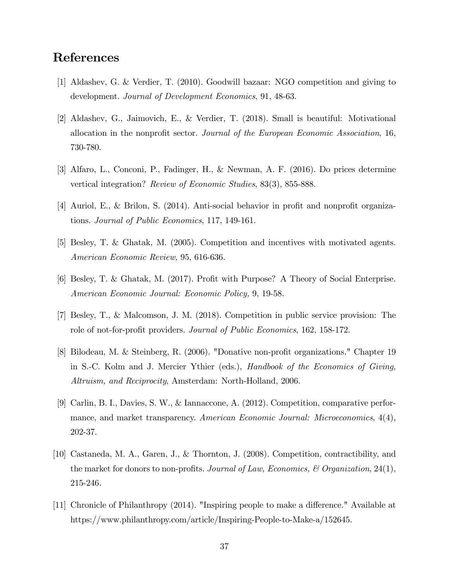# References

- [1] Aldashev, G. & Verdier, T. (2010). Goodwill bazaar: NGO competition and giving to development. Journal of Development Economics, 91, 48-63.
- [2] Aldashev, G., Jaimovich, E., & Verdier, T. (2018). Small is beautiful: Motivational allocation in the nonprofit sector. Journal of the European Economic Association, 16, 730-780.
- [3] Alfaro, L., Conconi, P., Fadinger, H., & Newman, A. F. (2016). Do prices determine vertical integration? Review of Economic Studies, 83(3), 855-888.
- [4] Auriol, E., & Brilon, S.  $(2014)$ . Anti-social behavior in profit and nonprofit organizations. Journal of Public Economics, 117, 149-161.
- [5] Besley, T. & Ghatak, M. (2005). Competition and incentives with motivated agents. American Economic Review, 95, 616-636.
- [6] Besley, T. & Ghatak, M. (2017). Profit with Purpose? A Theory of Social Enterprise. American Economic Journal: Economic Policy, 9, 19-58.
- [7] Besley, T., & Malcomson, J. M. (2018). Competition in public service provision: The role of not-for-profit providers. Journal of Public Economics, 162, 158-172.
- [8] Bilodeau, M. & Steinberg, R. (2006). "Donative non-profit organizations." Chapter 19 in S.-C. Kolm and J. Mercier Ythier (eds.), Handbook of the Economics of Giving, Altruism, and Reciprocity, Amsterdam: North-Holland, 2006.
- [9] Carlin, B. I., Davies, S. W., & Iannaccone, A. (2012). Competition, comparative performance, and market transparency. American Economic Journal: Microeconomics, 4(4), 202-37.
- [10] Castaneda, M. A., Garen, J., & Thornton, J. (2008). Competition, contractibility, and the market for donors to non-profits. Journal of Law, Economics, & Organization, 24(1), 215-246.
- [11] Chronicle of Philanthropy  $(2014)$ . "Inspiring people to make a difference." Available at https://www.philanthropy.com/article/Inspiring-People-to-Make-a/152645.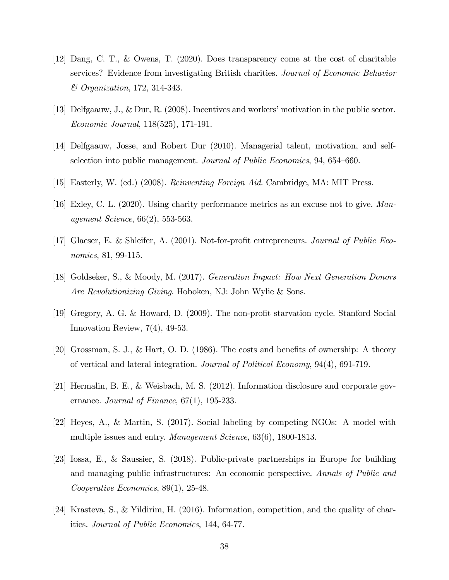- [12] Dang, C. T., & Owens, T. (2020). Does transparency come at the cost of charitable services? Evidence from investigating British charities. Journal of Economic Behavior & Organization, 172, 314-343.
- [13] Delfgaauw, J., & Dur, R. (2008). Incentives and workersímotivation in the public sector. Economic Journal, 118(525), 171-191.
- [14] Delfgaauw, Josse, and Robert Dur (2010). Managerial talent, motivation, and selfselection into public management. Journal of Public Economics, 94, 654–660.
- [15] Easterly, W. (ed.) (2008). Reinventing Foreign Aid. Cambridge, MA: MIT Press.
- [16] Exley, C. L. (2020). Using charity performance metrics as an excuse not to give. Management Science, 66(2), 553-563.
- [17] Glaeser, E. & Shleifer, A. (2001). Not-for-profit entrepreneurs. *Journal of Public Eco*nomics, 81, 99-115.
- [18] Goldseker, S., & Moody, M. (2017). Generation Impact: How Next Generation Donors Are Revolutionizing Giving. Hoboken, NJ: John Wylie & Sons.
- [19] Gregory, A. G. & Howard, D. (2009). The non-profit starvation cycle. Stanford Social Innovation Review, 7(4), 49-53.
- [20] Grossman, S. J., & Hart, O. D. (1986). The costs and benefits of ownership: A theory of vertical and lateral integration. Journal of Political Economy, 94(4), 691-719.
- [21] Hermalin, B. E., & Weisbach, M. S. (2012). Information disclosure and corporate governance. Journal of Finance,  $67(1)$ , 195-233.
- [22] Heyes, A., & Martin, S. (2017). Social labeling by competing NGOs: A model with multiple issues and entry. *Management Science*, 63(6), 1800-1813.
- [23] Iossa, E., & Saussier, S. (2018). Public-private partnerships in Europe for building and managing public infrastructures: An economic perspective. Annals of Public and Cooperative Economics, 89(1), 25-48.
- [24] Krasteva, S., & Yildirim, H. (2016). Information, competition, and the quality of charities. Journal of Public Economics, 144, 64-77.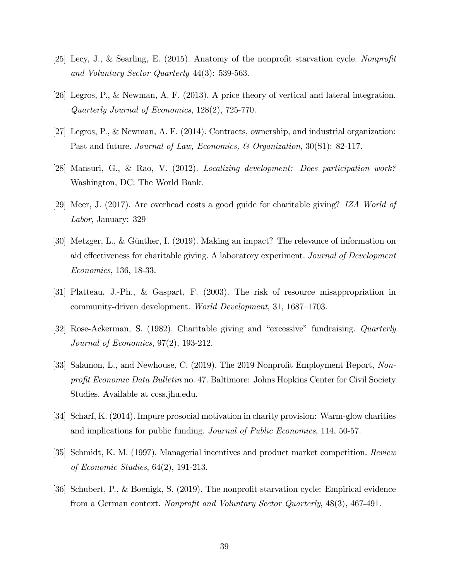- [25] Lecy, J., & Searling, E. (2015). Anatomy of the nonprofit starvation cycle. Nonprofit and Voluntary Sector Quarterly 44(3): 539-563.
- [26] Legros, P., & Newman, A. F. (2013). A price theory of vertical and lateral integration. Quarterly Journal of Economics, 128(2), 725-770.
- [27] Legros, P., & Newman, A. F. (2014). Contracts, ownership, and industrial organization: Past and future. Journal of Law, Economics, & Organization, 30(S1): 82-117.
- [28] Mansuri, G., & Rao, V. (2012). Localizing development: Does participation work? Washington, DC: The World Bank.
- [29] Meer, J. (2017). Are overhead costs a good guide for charitable giving? IZA World of Labor, January: 329
- [30] Metzger, L., & Günther, I. (2019). Making an impact? The relevance of information on aid effectiveness for charitable giving. A laboratory experiment. Journal of Development Economics, 136, 18-33.
- [31] Platteau, J.-Ph., & Gaspart, F. (2003). The risk of resource misappropriation in community-driven development. *World Development*, 31, 1687–1703.
- [32] Rose-Ackerman, S. (1982). Charitable giving and "excessive" fundraising. *Quarterly* Journal of Economics, 97(2), 193-212.
- [33] Salamon, L., and Newhouse, C. (2019). The 2019 Nonprofit Employment Report, Nonprofit Economic Data Bulletin no. 47. Baltimore: Johns Hopkins Center for Civil Society Studies. Available at ccss.jhu.edu.
- [34] Scharf, K. (2014). Impure prosocial motivation in charity provision: Warm-glow charities and implications for public funding. Journal of Public Economics, 114, 50-57.
- [35] Schmidt, K. M. (1997). Managerial incentives and product market competition. Review of Economic Studies, 64(2), 191-213.
- [36] Schubert, P., & Boenigk, S. (2019). The nonprofit starvation cycle: Empirical evidence from a German context. Nonprofit and Voluntary Sector Quarterly, 48(3), 467-491.